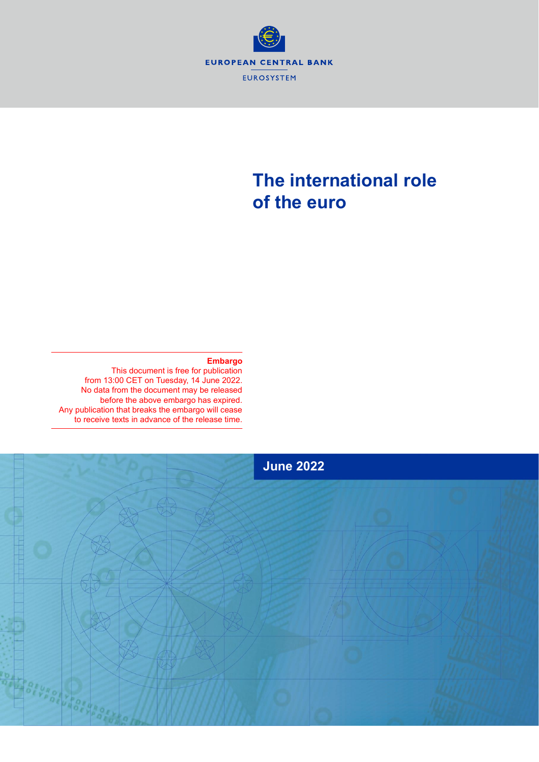

# **The international role of the euro**

#### **Embargo**

This document is free for publication from 13:00 CET on Tuesday, 14 June 2022. No data from the document may be released before the above embargo has expired. Any publication that breaks the embargo will cease to receive texts in advance of the release time.

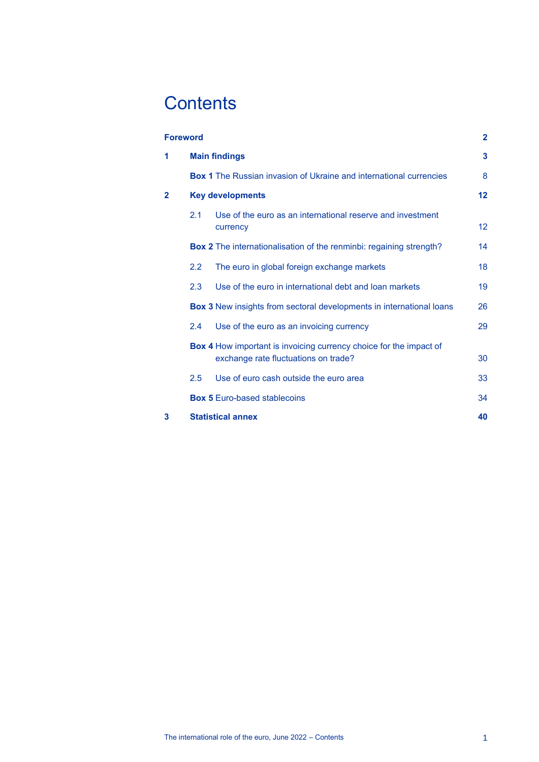# **Contents**

|              | $\mathbf{2}$<br><b>Foreword</b> |                                                                                                            |    |  |  |
|--------------|---------------------------------|------------------------------------------------------------------------------------------------------------|----|--|--|
| 1            | <b>Main findings</b>            |                                                                                                            |    |  |  |
|              |                                 | <b>Box 1</b> The Russian invasion of Ukraine and international currencies                                  | 8  |  |  |
| $\mathbf{2}$ | <b>Key developments</b>         |                                                                                                            |    |  |  |
|              | 2.1                             | Use of the euro as an international reserve and investment<br>currency                                     | 12 |  |  |
|              |                                 | <b>Box 2</b> The internationalisation of the renminbi: regaining strength?                                 | 14 |  |  |
|              | 2.2                             | The euro in global foreign exchange markets                                                                | 18 |  |  |
|              | 2.3                             | Use of the euro in international debt and loan markets                                                     | 19 |  |  |
|              |                                 | <b>Box 3</b> New insights from sectoral developments in international loans                                | 26 |  |  |
|              | 2.4                             | Use of the euro as an invoicing currency                                                                   | 29 |  |  |
|              |                                 | Box 4 How important is invoicing currency choice for the impact of<br>exchange rate fluctuations on trade? | 30 |  |  |
|              | 2.5                             | Use of euro cash outside the euro area                                                                     | 33 |  |  |
|              |                                 | <b>Box 5 Euro-based stablecoins</b>                                                                        | 34 |  |  |
| 3            |                                 | <b>Statistical annex</b>                                                                                   | 40 |  |  |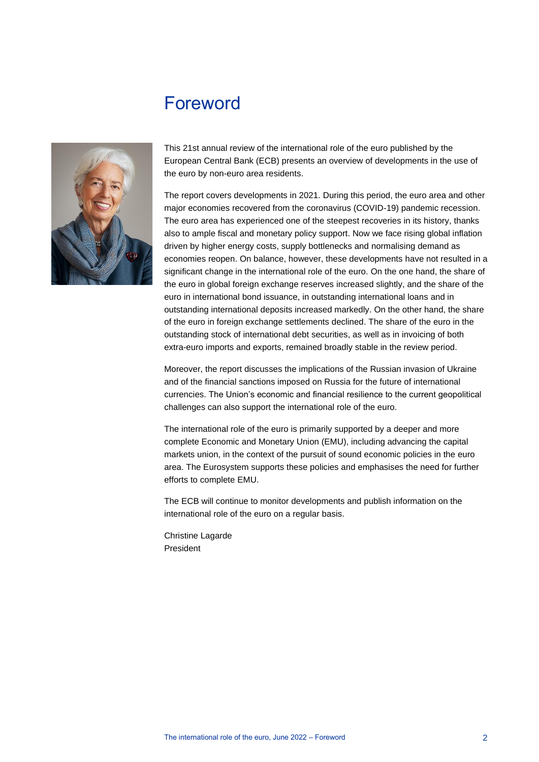## <span id="page-2-0"></span>Foreword



This 21st annual review of the international role of the euro published by the European Central Bank (ECB) presents an overview of developments in the use of the euro by non-euro area residents.

The report covers developments in 2021. During this period, the euro area and other major economies recovered from the coronavirus (COVID-19) pandemic recession. The euro area has experienced one of the steepest recoveries in its history, thanks also to ample fiscal and monetary policy support. Now we face rising global inflation driven by higher energy costs, supply bottlenecks and normalising demand as economies reopen. On balance, however, these developments have not resulted in a significant change in the international role of the euro. On the one hand, the share of the euro in global foreign exchange reserves increased slightly, and the share of the euro in international bond issuance, in outstanding international loans and in outstanding international deposits increased markedly. On the other hand, the share of the euro in foreign exchange settlements declined. The share of the euro in the outstanding stock of international debt securities, as well as in invoicing of both extra-euro imports and exports, remained broadly stable in the review period.

Moreover, the report discusses the implications of the Russian invasion of Ukraine and of the financial sanctions imposed on Russia for the future of international currencies. The Union's economic and financial resilience to the current geopolitical challenges can also support the international role of the euro.

The international role of the euro is primarily supported by a deeper and more complete Economic and Monetary Union (EMU), including advancing the capital markets union, in the context of the pursuit of sound economic policies in the euro area. The Eurosystem supports these policies and emphasises the need for further efforts to complete EMU.

The ECB will continue to monitor developments and publish information on the international role of the euro on a regular basis.

Christine Lagarde President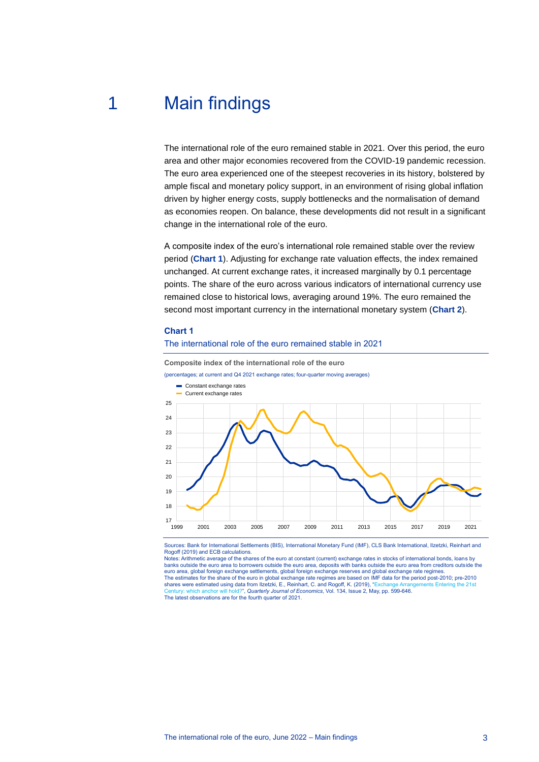## 1 Main findings

<span id="page-3-0"></span>The international role of the euro remained stable in 2021. Over this period, the euro area and other major economies recovered from the COVID-19 pandemic recession. The euro area experienced one of the steepest recoveries in its history, bolstered by ample fiscal and monetary policy support, in an environment of rising global inflation driven by higher energy costs, supply bottlenecks and the normalisation of demand as economies reopen. On balance, these developments did not result in a significant change in the international role of the euro.

A composite index of the euro's international role remained stable over the review period (**Chart 1**). Adjusting for exchange rate valuation effects, the index remained unchanged. At current exchange rates, it increased marginally by 0.1 percentage points. The share of the euro across various indicators of international currency use remained close to historical lows, averaging around 19%. The euro remained the second most important currency in the international monetary system (**Chart 2**).

#### **Chart 1**

#### The international role of the euro remained stable in 2021



Sources: Bank for International Settlements (BIS), International Monetary Fund (IMF), CLS Bank International, Ilzetzki, Reinhart and Rogoff (2019) and ECB calculations.

Notes: Arithmetic average of the shares of the euro at constant (current) exchange rates in stocks of international bonds, loans by banks outside the euro area to borrowers outside the euro area, deposits with banks outside the euro area from creditors outside the<br>euro area, global foreign exchange settlements, global foreign exchange reserves and glob The estimates for the share of the euro in global exchange rate regimes are based on IMF data for the period post-2010; pre-2010<br>shares were estimated using data from Ilzetzki, E., Reinhart, C. and Rogoff, K. (2019), "Exch [Century: which anchor will hold?",](https://academic.oup.com/qje/article-abstract/134/2/599/5274128?redirectedFrom=fulltext) *Quarterly Journal of Economics*, Vol. 134, Issue 2, May, pp. 599-646. The latest observations are for the fourth quarter of 2021.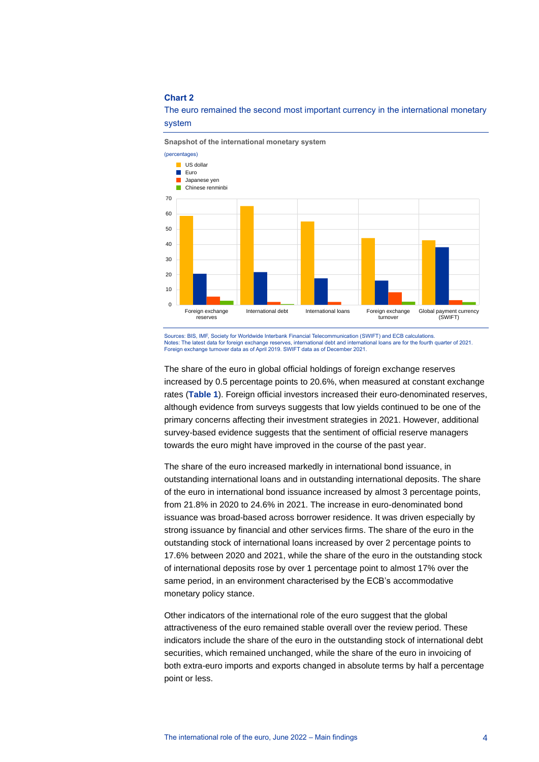#### **Chart 2**



The euro remained the second most important currency in the international monetary system

Sources: BIS, IMF, Society for Worldwide Interbank Financial Telecommunication (SWIFT) and ECB calculations. Notes: The latest data for foreign exchange reserves, international debt and international loans are for the fourth quarter of 2021.<br>Foreign exchange turnover data as of April 2019. SWIFT data as of December 2021.

The share of the euro in global official holdings of foreign exchange reserves increased by 0.5 percentage points to 20.6%, when measured at constant exchange rates (**Table 1**). Foreign official investors increased their euro-denominated reserves, although evidence from surveys suggests that low yields continued to be one of the primary concerns affecting their investment strategies in 2021. However, additional survey-based evidence suggests that the sentiment of official reserve managers towards the euro might have improved in the course of the past year.

The share of the euro increased markedly in international bond issuance, in outstanding international loans and in outstanding international deposits. The share of the euro in international bond issuance increased by almost 3 percentage points, from 21.8% in 2020 to 24.6% in 2021. The increase in euro-denominated bond issuance was broad-based across borrower residence. It was driven especially by strong issuance by financial and other services firms. The share of the euro in the outstanding stock of international loans increased by over 2 percentage points to 17.6% between 2020 and 2021, while the share of the euro in the outstanding stock of international deposits rose by over 1 percentage point to almost 17% over the same period, in an environment characterised by the ECB's accommodative monetary policy stance.

Other indicators of the international role of the euro suggest that the global attractiveness of the euro remained stable overall over the review period. These indicators include the share of the euro in the outstanding stock of international debt securities, which remained unchanged, while the share of the euro in invoicing of both extra-euro imports and exports changed in absolute terms by half a percentage point or less.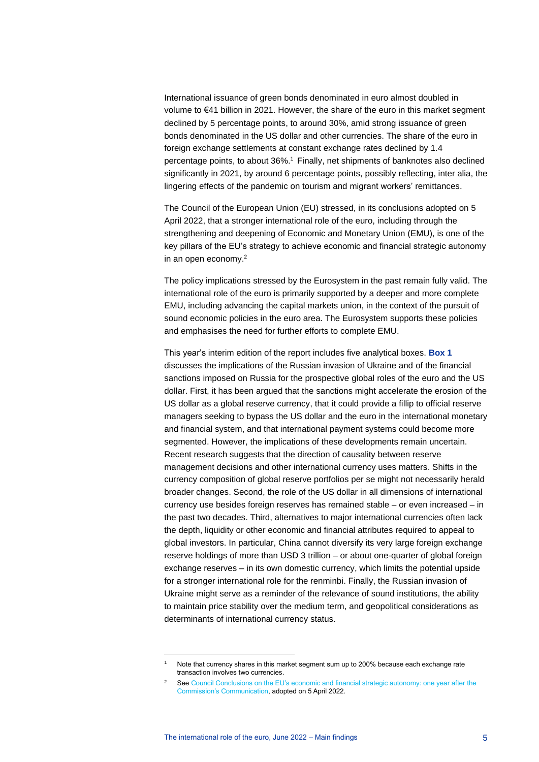International issuance of green bonds denominated in euro almost doubled in volume to €41 billion in 2021. However, the share of the euro in this market segment declined by 5 percentage points, to around 30%, amid strong issuance of green bonds denominated in the US dollar and other currencies. The share of the euro in foreign exchange settlements at constant exchange rates declined by 1.4 percentage points, to about 36%. <sup>1</sup> Finally, net shipments of banknotes also declined significantly in 2021, by around 6 percentage points, possibly reflecting, inter alia, the lingering effects of the pandemic on tourism and migrant workers' remittances.

The Council of the European Union (EU) stressed, in its conclusions adopted on 5 April 2022, that a stronger international role of the euro, including through the strengthening and deepening of Economic and Monetary Union (EMU), is one of the key pillars of the EU's strategy to achieve economic and financial strategic autonomy in an open economy.<sup>2</sup>

The policy implications stressed by the Eurosystem in the past remain fully valid. The international role of the euro is primarily supported by a deeper and more complete EMU, including advancing the capital markets union, in the context of the pursuit of sound economic policies in the euro area. The Eurosystem supports these policies and emphasises the need for further efforts to complete EMU.

This year's interim edition of the report includes five analytical boxes. **Box 1** discusses the implications of the Russian invasion of Ukraine and of the financial sanctions imposed on Russia for the prospective global roles of the euro and the US dollar. First, it has been argued that the sanctions might accelerate the erosion of the US dollar as a global reserve currency, that it could provide a fillip to official reserve managers seeking to bypass the US dollar and the euro in the international monetary and financial system, and that international payment systems could become more segmented. However, the implications of these developments remain uncertain. Recent research suggests that the direction of causality between reserve management decisions and other international currency uses matters. Shifts in the currency composition of global reserve portfolios per se might not necessarily herald broader changes. Second, the role of the US dollar in all dimensions of international currency use besides foreign reserves has remained stable – or even increased – in the past two decades. Third, alternatives to major international currencies often lack the depth, liquidity or other economic and financial attributes required to appeal to global investors. In particular, China cannot diversify its very large foreign exchange reserve holdings of more than USD 3 trillion – or about one-quarter of global foreign exchange reserves – in its own domestic currency, which limits the potential upside for a stronger international role for the renminbi. Finally, the Russian invasion of Ukraine might serve as a reminder of the relevance of sound institutions, the ability to maintain price stability over the medium term, and geopolitical considerations as determinants of international currency status.

Note that currency shares in this market segment sum up to 200% because each exchange rate transaction involves two currencies.

<sup>&</sup>lt;sup>2</sup> See Council Conclusions on the EU's economic and financial strategic autonomy: one year after the [Commission's Communication,](https://data.consilium.europa.eu/doc/document/ST-6301-2022-INIT/en/pdf?utm_source=dsms-auto&utm_medium=email&utm_campaign=Council+adopts+conclusions+on+strategic+autonomy+of+the+European+economic+and+financial+sector) adopted on 5 April 2022.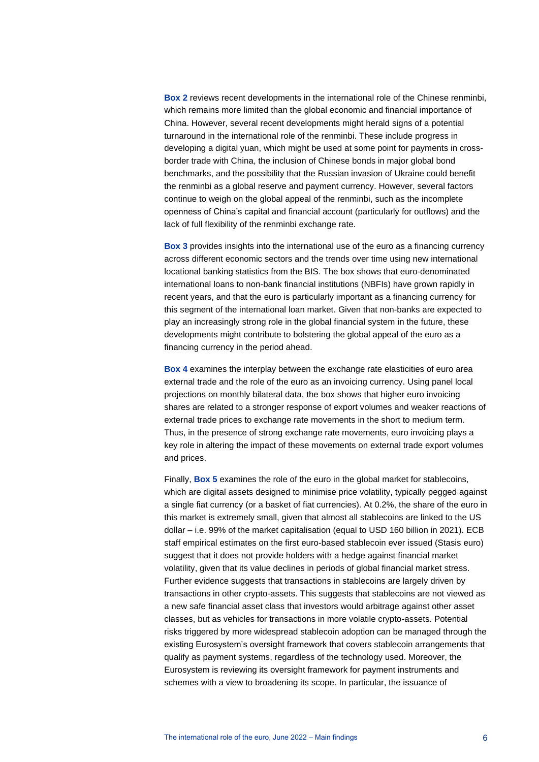**Box 2** reviews recent developments in the international role of the Chinese renminbi, which remains more limited than the global economic and financial importance of China. However, several recent developments might herald signs of a potential turnaround in the international role of the renminbi. These include progress in developing a digital yuan, which might be used at some point for payments in crossborder trade with China, the inclusion of Chinese bonds in major global bond benchmarks, and the possibility that the Russian invasion of Ukraine could benefit the renminbi as a global reserve and payment currency. However, several factors continue to weigh on the global appeal of the renminbi, such as the incomplete openness of China's capital and financial account (particularly for outflows) and the lack of full flexibility of the renminbi exchange rate.

**Box 3** provides insights into the international use of the euro as a financing currency across different economic sectors and the trends over time using new international locational banking statistics from the BIS. The box shows that euro-denominated international loans to non-bank financial institutions (NBFIs) have grown rapidly in recent years, and that the euro is particularly important as a financing currency for this segment of the international loan market. Given that non-banks are expected to play an increasingly strong role in the global financial system in the future, these developments might contribute to bolstering the global appeal of the euro as a financing currency in the period ahead.

**Box 4** examines the interplay between the exchange rate elasticities of euro area external trade and the role of the euro as an invoicing currency. Using panel local projections on monthly bilateral data, the box shows that higher euro invoicing shares are related to a stronger response of export volumes and weaker reactions of external trade prices to exchange rate movements in the short to medium term. Thus, in the presence of strong exchange rate movements, euro invoicing plays a key role in altering the impact of these movements on external trade export volumes and prices.

Finally, **Box 5** examines the role of the euro in the global market for stablecoins, which are digital assets designed to minimise price volatility, typically pegged against a single fiat currency (or a basket of fiat currencies). At 0.2%, the share of the euro in this market is extremely small, given that almost all stablecoins are linked to the US dollar – i.e. 99% of the market capitalisation (equal to USD 160 billion in 2021). ECB staff empirical estimates on the first euro-based stablecoin ever issued (Stasis euro) suggest that it does not provide holders with a hedge against financial market volatility, given that its value declines in periods of global financial market stress. Further evidence suggests that transactions in stablecoins are largely driven by transactions in other crypto-assets. This suggests that stablecoins are not viewed as a new safe financial asset class that investors would arbitrage against other asset classes, but as vehicles for transactions in more volatile crypto-assets. Potential risks triggered by more widespread stablecoin adoption can be managed through the existing Eurosystem's oversight framework that covers stablecoin arrangements that qualify as payment systems, regardless of the technology used. Moreover, the Eurosystem is reviewing its oversight framework for payment instruments and schemes with a view to broadening its scope. In particular, the issuance of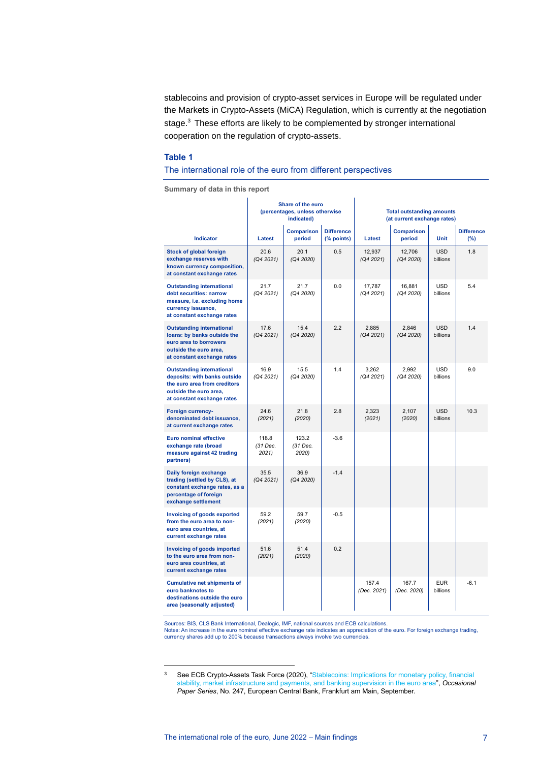stablecoins and provision of crypto-asset services in Europe will be regulated under the Markets in Crypto-Assets (MiCA) Regulation, which is currently at the negotiation stage. <sup>3</sup> These efforts are likely to be complemented by stronger international cooperation on the regulation of crypto-assets.

l.

#### **Table 1**

#### The international role of the euro from different perspectives

**Summary of data in this report**

|                                                                                                                                                          | Share of the euro<br>(percentages, unless otherwise<br>indicated) |                             | <b>Total outstanding amounts</b><br>(at current exchange rates) |                      |                             |                        |                          |
|----------------------------------------------------------------------------------------------------------------------------------------------------------|-------------------------------------------------------------------|-----------------------------|-----------------------------------------------------------------|----------------------|-----------------------------|------------------------|--------------------------|
| <b>Indicator</b>                                                                                                                                         | Latest                                                            | <b>Comparison</b><br>period | <b>Difference</b><br>(% points)                                 | Latest               | <b>Comparison</b><br>period | <b>Unit</b>            | <b>Difference</b><br>(%) |
| Stock of global foreign<br>exchange reserves with<br>known currency composition,<br>at constant exchange rates                                           | 20.6<br>(Q4 2021)                                                 | 20.1<br>(Q4 2020)           | 0.5                                                             | 12,937<br>(Q4 2021)  | 12,706<br>(Q4 2020)         | <b>USD</b><br>billions | 1.8                      |
| <b>Outstanding international</b><br>debt securities: narrow<br>measure, i.e. excluding home<br>currency issuance,<br>at constant exchange rates          | 21.7<br>(Q4 2021)                                                 | 21.7<br>(Q4 2020)           | 0.0                                                             | 17.787<br>(Q4 2021)  | 16.881<br>(Q4 2020)         | <b>USD</b><br>billions | 5.4                      |
| <b>Outstanding international</b><br>loans: by banks outside the<br>euro area to borrowers<br>outside the euro area.<br>at constant exchange rates        | 17.6<br>(Q4 2021)                                                 | 15.4<br>(Q4 2020)           | 2.2                                                             | 2,885<br>(Q4 2021)   | 2,846<br>(Q4 2020)          | <b>USD</b><br>billions | 1.4                      |
| <b>Outstanding international</b><br>deposits: with banks outside<br>the euro area from creditors<br>outside the euro area,<br>at constant exchange rates | 16.9<br>(Q4 2021)                                                 | 15.5<br>(Q4 2020)           | 1.4                                                             | 3,262<br>(Q4 2021)   | 2.992<br>(Q4 2020)          | <b>USD</b><br>billions | 9.0                      |
| <b>Foreign currency-</b><br>denominated debt issuance,<br>at current exchange rates                                                                      | 24.6<br>(2021)                                                    | 21.8<br>(2020)              | 2.8                                                             | 2,323<br>(2021)      | 2,107<br>(2020)             | <b>USD</b><br>billions | 10.3                     |
| <b>Euro nominal effective</b><br>exchange rate (broad<br>measure against 42 trading<br>partners)                                                         | 118.8<br>(31 Dec.<br>2021)                                        | 123.2<br>(31 Dec.<br>2020)  | $-3.6$                                                          |                      |                             |                        |                          |
| Daily foreign exchange<br>trading (settled by CLS), at<br>constant exchange rates, as a<br>percentage of foreign<br>exchange settlement                  | 35.5<br>(Q4 2021)                                                 | 36.9<br>(Q4 2020)           | $-1.4$                                                          |                      |                             |                        |                          |
| Invoicing of goods exported<br>from the euro area to non-<br>euro area countries, at<br>current exchange rates                                           | 59.2<br>(2021)                                                    | 59.7<br>(2020)              | $-0.5$                                                          |                      |                             |                        |                          |
| <b>Invoicing of goods imported</b><br>to the euro area from non-<br>euro area countries, at<br>current exchange rates                                    | 51.6<br>(2021)                                                    | 51.4<br>(2020)              | 0.2                                                             |                      |                             |                        |                          |
| <b>Cumulative net shipments of</b><br>euro banknotes to<br>destinations outside the euro<br>area (seasonally adjusted)                                   |                                                                   |                             |                                                                 | 157.4<br>(Dec. 2021) | 167.7<br>(Dec. 2020)        | <b>EUR</b><br>billions | $-6.1$                   |

Sources: BIS, CLS Bank International, Dealogic, IMF, national sources and ECB calculations.<br>Notes: An increase in the euro nominal effective exchange rate indicates an appreciation of the euro. For foreign exchange trading

<sup>3</sup> See ECB Crypto-Assets Task Force (2020), "Stablecoins: Implications for monetary policy, financial [stability, market infrastructure and payments, and banking supervision in the euro area"](https://www.ecb.europa.eu/pub/pdf/scpops/ecb.op247~fe3df92991.en.pdf), *Occasional Paper Series*, No. 247, European Central Bank, Frankfurt am Main, September.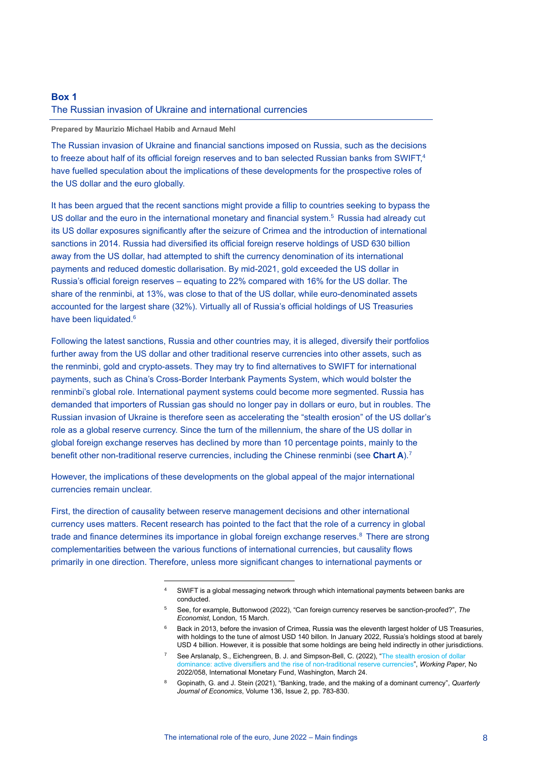## <span id="page-8-0"></span>**Box 1** The Russian invasion of Ukraine and international currencies

#### **Prepared by Maurizio Michael Habib and Arnaud Mehl**

The Russian invasion of Ukraine and financial sanctions imposed on Russia, such as the decisions to freeze about half of its official foreign reserves and to ban selected Russian banks from SWIFT, 4 have fuelled speculation about the implications of these developments for the prospective roles of the US dollar and the euro globally.

It has been argued that the recent sanctions might provide a fillip to countries seeking to bypass the US dollar and the euro in the international monetary and financial system.<sup>5</sup> Russia had already cut its US dollar exposures significantly after the seizure of Crimea and the introduction of international sanctions in 2014. Russia had diversified its official foreign reserve holdings of USD 630 billion away from the US dollar, had attempted to shift the currency denomination of its international payments and reduced domestic dollarisation. By mid-2021, gold exceeded the US dollar in Russia's official foreign reserves – equating to 22% compared with 16% for the US dollar. The share of the renminbi, at 13%, was close to that of the US dollar, while euro-denominated assets accounted for the largest share (32%). Virtually all of Russia's official holdings of US Treasuries have been liquidated.<sup>6</sup>

Following the latest sanctions, Russia and other countries may, it is alleged, diversify their portfolios further away from the US dollar and other traditional reserve currencies into other assets, such as the renminbi, gold and crypto-assets. They may try to find alternatives to SWIFT for international payments, such as China's Cross-Border Interbank Payments System, which would bolster the renminbi's global role. International payment systems could become more segmented. Russia has demanded that importers of Russian gas should no longer pay in dollars or euro, but in roubles. The Russian invasion of Ukraine is therefore seen as accelerating the "stealth erosion" of the US dollar's role as a global reserve currency. Since the turn of the millennium, the share of the US dollar in global foreign exchange reserves has declined by more than 10 percentage points, mainly to the benefit other non-traditional reserve currencies, including the Chinese renminbi (see **Chart A**).<sup>7</sup>

However, the implications of these developments on the global appeal of the major international currencies remain unclear.

First, the direction of causality between reserve management decisions and other international currency uses matters. Recent research has pointed to the fact that the role of a currency in global trade and finance determines its importance in global foreign exchange reserves.<sup>8</sup> There are strong complementarities between the various functions of international currencies, but causality flows primarily in one direction. Therefore, unless more significant changes to international payments or

SWIFT is a global messaging network through which international payments between banks are conducted.

<sup>5</sup> See, for example, Buttonwood (2022), "Can foreign currency reserves be sanction-proofed?", *The Economist*, London, 15 March.

<sup>&</sup>lt;sup>6</sup> Back in 2013, before the invasion of Crimea, Russia was the eleventh largest holder of US Treasuries, with holdings to the tune of almost USD 140 billon. In January 2022, Russia's holdings stood at barely USD 4 billion. However, it is possible that some holdings are being held indirectly in other jurisdictions.

<sup>7</sup> See Arslanalp, S., Eichengreen, B. J. and Simpson-Bell, C. (2022), ["The stealth erosion of dollar](https://www.imf.org/en/Publications/WP/Issues/2022/03/24/The-Stealth-Erosion-of-Dollar-Dominance-Active-Diversifiers-and-the-Rise-of-Nontraditional-515150)  [dominance: active diversifiers and the rise of non-traditional reserve currencies"](https://www.imf.org/en/Publications/WP/Issues/2022/03/24/The-Stealth-Erosion-of-Dollar-Dominance-Active-Diversifiers-and-the-Rise-of-Nontraditional-515150), *Working Paper*, No 2022/058, International Monetary Fund, Washington, March 24.

<sup>8</sup> Gopinath, G. and J. Stein (2021), "Banking, trade, and the making of a dominant currency", *Quarterly Journal of Economics*, Volume 136, Issue 2, pp. 783-830.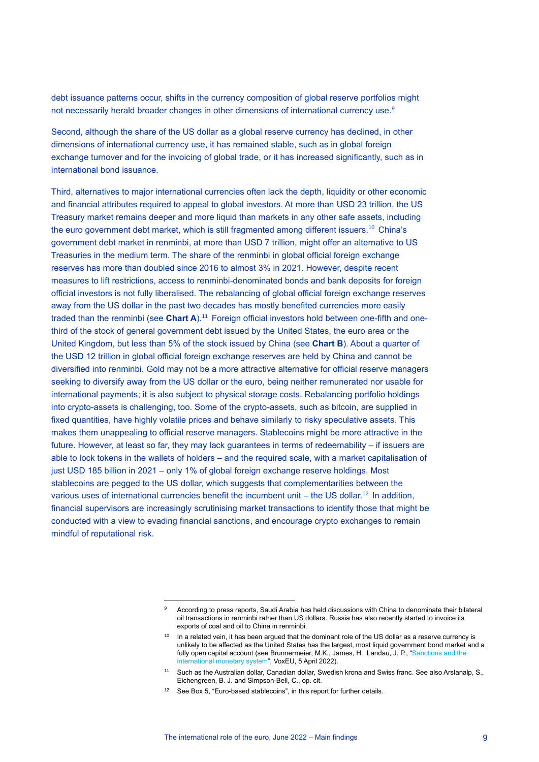debt issuance patterns occur, shifts in the currency composition of global reserve portfolios might not necessarily herald broader changes in other dimensions of international currency use.<sup>9</sup>

Second, although the share of the US dollar as a global reserve currency has declined, in other dimensions of international currency use, it has remained stable, such as in global foreign exchange turnover and for the invoicing of global trade, or it has increased significantly, such as in international bond issuance.

Third, alternatives to major international currencies often lack the depth, liquidity or other economic and financial attributes required to appeal to global investors. At more than USD 23 trillion, the US Treasury market remains deeper and more liquid than markets in any other safe assets, including the euro government debt market, which is still fragmented among different issuers.<sup>10</sup> China's government debt market in renminbi, at more than USD 7 trillion, might offer an alternative to US Treasuries in the medium term. The share of the renminbi in global official foreign exchange reserves has more than doubled since 2016 to almost 3% in 2021. However, despite recent measures to lift restrictions, access to renminbi-denominated bonds and bank deposits for foreign official investors is not fully liberalised. The rebalancing of global official foreign exchange reserves away from the US dollar in the past two decades has mostly benefited currencies more easily traded than the renminbi (see **Chart A**).<sup>11</sup> Foreign official investors hold between one-fifth and onethird of the stock of general government debt issued by the United States, the euro area or the United Kingdom, but less than 5% of the stock issued by China (see **Chart B**). About a quarter of the USD 12 trillion in global official foreign exchange reserves are held by China and cannot be diversified into renminbi. Gold may not be a more attractive alternative for official reserve managers seeking to diversify away from the US dollar or the euro, being neither remunerated nor usable for international payments; it is also subject to physical storage costs. Rebalancing portfolio holdings into crypto-assets is challenging, too. Some of the crypto-assets, such as bitcoin, are supplied in fixed quantities, have highly volatile prices and behave similarly to risky speculative assets. This makes them unappealing to official reserve managers. Stablecoins might be more attractive in the future. However, at least so far, they may lack guarantees in terms of redeemability – if issuers are able to lock tokens in the wallets of holders – and the required scale, with a market capitalisation of just USD 185 billion in 2021 – only 1% of global foreign exchange reserve holdings. Most stablecoins are pegged to the US dollar, which suggests that complementarities between the various uses of international currencies benefit the incumbent unit – the US dollar.<sup>12</sup> In addition, financial supervisors are increasingly scrutinising market transactions to identify those that might be conducted with a view to evading financial sanctions, and encourage crypto exchanges to remain mindful of reputational risk.

According to press reports, Saudi Arabia has held discussions with China to denominate their bilateral oil transactions in renminbi rather than US dollars. Russia has also recently started to invoice its exports of coal and oil to China in renminbi.

<sup>&</sup>lt;sup>10</sup> In a related vein, it has been argued that the dominant role of the US dollar as a reserve currency is unlikely to be affected as the United States has the largest, most liquid government bond market and a fully open capital account (see Brunnermeier, M.K., James, H., Landau, J. P., "Sanctions and the [international monetary system"](https://voxeu.org/article/sanctions-and-international-monetary-system), VoxEU, 5 April 2022).

<sup>11</sup> Such as the Australian dollar, Canadian dollar, Swedish krona and Swiss franc. See also Arslanalp, S., Eichengreen, B. J. and Simpson-Bell, C., op. cit.

<sup>&</sup>lt;sup>12</sup> See Box 5, "Euro-based stablecoins", in this report for further details.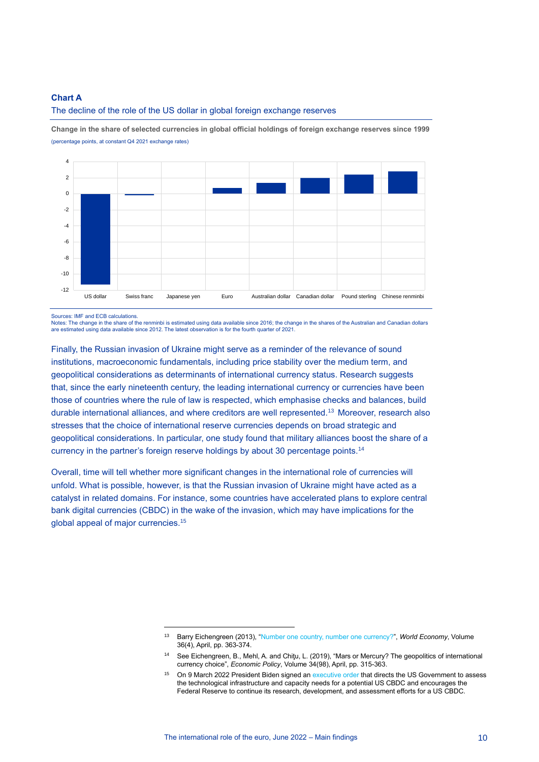#### **Chart A**



The decline of the role of the US dollar in global foreign exchange reserves

**Change in the share of selected currencies in global official holdings of foreign exchange reserves since 1999** (percentage points, at constant Q4 2021 exchange rates)

Sources: IMF and ECB calculations.

Notes: The change in the share of the renminbi is estimated using data available since 2016; the change in the shares of the Australian and Canadian dollars are estimated using data available since 2012. The latest observation is for the fourth quarter of 2021.

Finally, the Russian invasion of Ukraine might serve as a reminder of the relevance of sound institutions, macroeconomic fundamentals, including price stability over the medium term, and geopolitical considerations as determinants of international currency status. Research suggests that, since the early nineteenth century, the leading international currency or currencies have been those of countries where the rule of law is respected, which emphasise checks and balances, build durable international alliances, and where creditors are well represented.<sup>13</sup> Moreover, research also stresses that the choice of international reserve currencies depends on broad strategic and geopolitical considerations. In particular, one study found that military alliances boost the share of a currency in the partner's foreign reserve holdings by about 30 percentage points.<sup>14</sup>

Overall, time will tell whether more significant changes in the international role of currencies will unfold. What is possible, however, is that the Russian invasion of Ukraine might have acted as a catalyst in related domains. For instance, some countries have accelerated plans to explore central bank digital currencies (CBDC) in the wake of the invasion, which may have implications for the global appeal of major currencies.<sup>15</sup>

<sup>13</sup> Barry Eichengreen (2013), ["Number one country, number one currency?"](https://www.researchgate.net/publication/256056552_Number_One_Country_Number_One_Currency), *World Economy*, Volume 36(4), April, pp. 363-374.

<sup>&</sup>lt;sup>14</sup> See Eichengreen, B., Mehl, A. and Chitu, L. (2019), "Mars or Mercury? The geopolitics of international currency choice", *Economic Policy*, Volume 34(98), April, pp. 315-363.

<sup>&</sup>lt;sup>15</sup> On 9 March 2022 President Biden signed a[n executive order](https://www.whitehouse.gov/briefing-room/statements-releases/2022/03/09/fact-sheet-president-biden-to-sign-executive-order-on-ensuring-responsible-innovation-in-digital-assets/) that directs the US Government to assess the technological infrastructure and capacity needs for a potential US CBDC and encourages the Federal Reserve to continue its research, development, and assessment efforts for a US CBDC.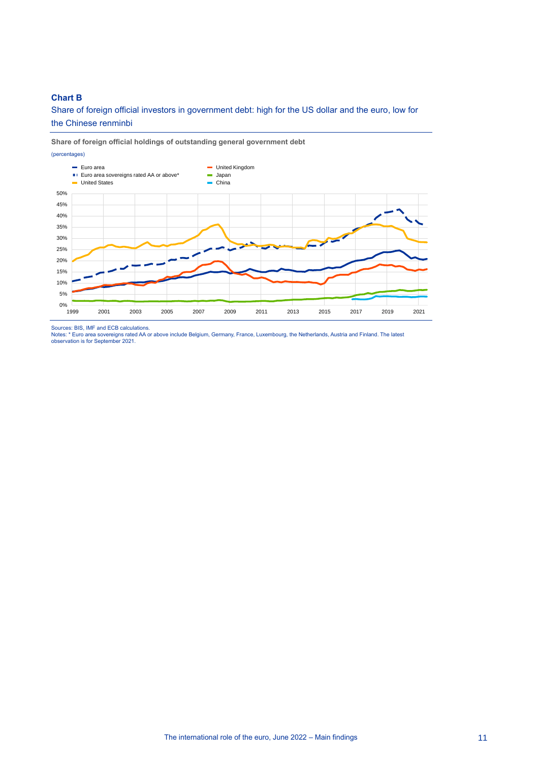#### **Chart B**

Share of foreign official investors in government debt: high for the US dollar and the euro, low for the Chinese renminbi

### **Share of foreign official holdings of outstanding general government debt**



Sources: BIS, IMF and ECB calculations.<br>Notes: \* Euro area sovereigns rated AA or above include Belgium, Germany, France, Luxembourg, the Netherlands, Austria and Finland. The latest<br>observation is for September 2021.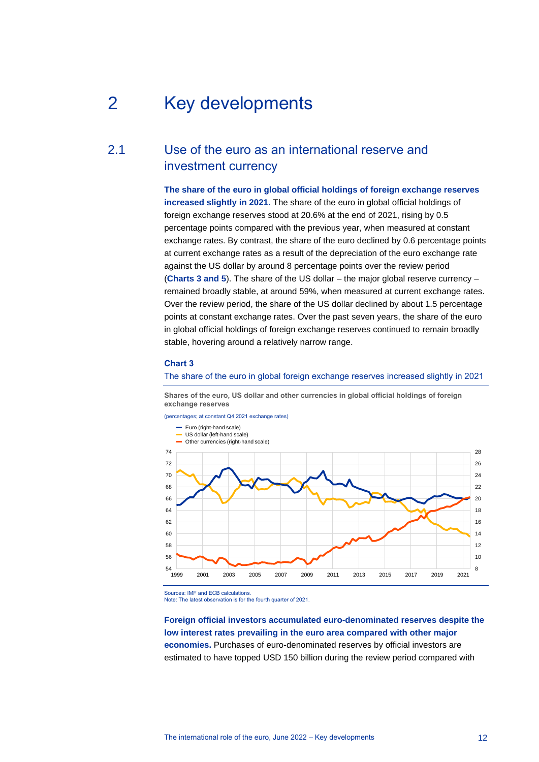## <span id="page-12-0"></span>2 Key developments

## 2.1 Use of the euro as an international reserve and investment currency

<span id="page-12-1"></span>**The share of the euro in global official holdings of foreign exchange reserves increased slightly in 2021.** The share of the euro in global official holdings of foreign exchange reserves stood at 20.6% at the end of 2021, rising by 0.5 percentage points compared with the previous year, when measured at constant exchange rates. By contrast, the share of the euro declined by 0.6 percentage points at current exchange rates as a result of the depreciation of the euro exchange rate against the US dollar by around 8 percentage points over the review period (**Charts 3 and 5**). The share of the US dollar – the major global reserve currency – remained broadly stable, at around 59%, when measured at current exchange rates. Over the review period, the share of the US dollar declined by about 1.5 percentage points at constant exchange rates. Over the past seven years, the share of the euro in global official holdings of foreign exchange reserves continued to remain broadly stable, hovering around a relatively narrow range.

#### **Chart 3**

The share of the euro in global foreign exchange reserves increased slightly in 2021

**Shares of the euro, US dollar and other currencies in global official holdings of foreign exchange reserves**



Sources: IMF and ECB calculations.

Note: The latest observation is for the fourth quarter of 2021.

**Foreign official investors accumulated euro-denominated reserves despite the low interest rates prevailing in the euro area compared with other major economies.** Purchases of euro-denominated reserves by official investors are estimated to have topped USD 150 billion during the review period compared with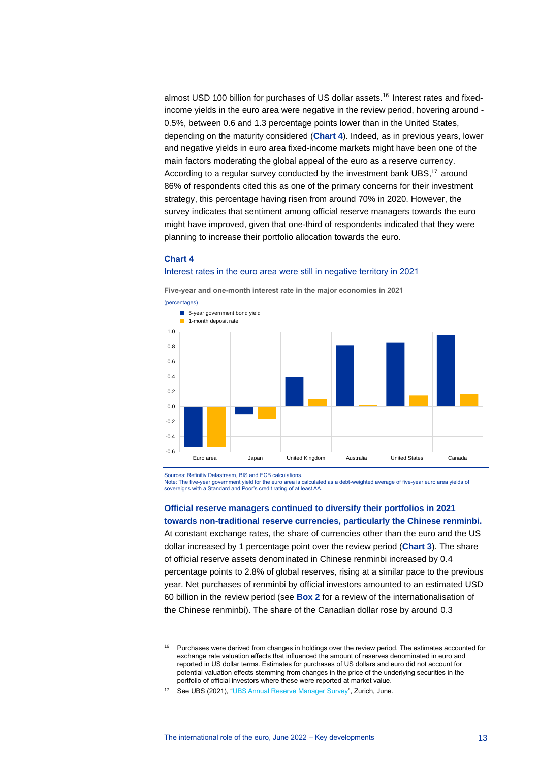almost USD 100 billion for purchases of US dollar assets.<sup>16</sup> Interest rates and fixedincome yields in the euro area were negative in the review period, hovering around - 0.5%, between 0.6 and 1.3 percentage points lower than in the United States, depending on the maturity considered (**Chart 4**). Indeed, as in previous years, lower and negative yields in euro area fixed-income markets might have been one of the main factors moderating the global appeal of the euro as a reserve currency. According to a regular survey conducted by the investment bank UBS,<sup>17</sup> around 86% of respondents cited this as one of the primary concerns for their investment strategy, this percentage having risen from around 70% in 2020. However, the survey indicates that sentiment among official reserve managers towards the euro might have improved, given that one-third of respondents indicated that they were planning to increase their portfolio allocation towards the euro.

#### **Chart 4**

#### Interest rates in the euro area were still in negative territory in 2021



**Five-year and one-month interest rate in the major economies in 2021**

Sources: Refinitiv Datastream, BIS and ECB calculations.

Note: The five-year government yield for the euro area is calculated as a debt-weighted average of five-year euro area yields of sovereigns with a Standard and Poor's credit rating of at least AA.

#### **Official reserve managers continued to diversify their portfolios in 2021 towards non-traditional reserve currencies, particularly the Chinese renminbi.**

At constant exchange rates, the share of currencies other than the euro and the US dollar increased by 1 percentage point over the review period (**Chart 3**). The share of official reserve assets denominated in Chinese renminbi increased by 0.4 percentage points to 2.8% of global reserves, rising at a similar pace to the previous year. Net purchases of renminbi by official investors amounted to an estimated USD 60 billion in the review period (see **Box 2** for a review of the internationalisation of the Chinese renminbi). The share of the Canadian dollar rose by around 0.3

<sup>&</sup>lt;sup>16</sup> Purchases were derived from changes in holdings over the review period. The estimates accounted for exchange rate valuation effects that influenced the amount of reserves denominated in euro and reported in US dollar terms. Estimates for purchases of US dollars and euro did not account for potential valuation effects stemming from changes in the price of the underlying securities in the portfolio of official investors where these were reported at market value.

<sup>17</sup> See UBS (2021), ["UBS Annual Reserve Manager](https://www.ubs.com/global/en/asset-management/global-sovereign-markets/reserve-management-seminar-highlights-2021/27th-annual-reserve-management-seminar-survey/_jcr_content/mainpar/toplevelgrid/col1/linklist/link.1725873437.file/PS9jb250ZW50L2RhbS9hc3NldHMvYW0vZ2xvYmFsL2RvYy9hbm51YWwtcmVzZXJ2ZS1tYW5hZ2VyLXN1cnZleS0yMDIxLnBkZg==/annual-reserve-manager-survey-2021.pdf) Survey", Zurich, June.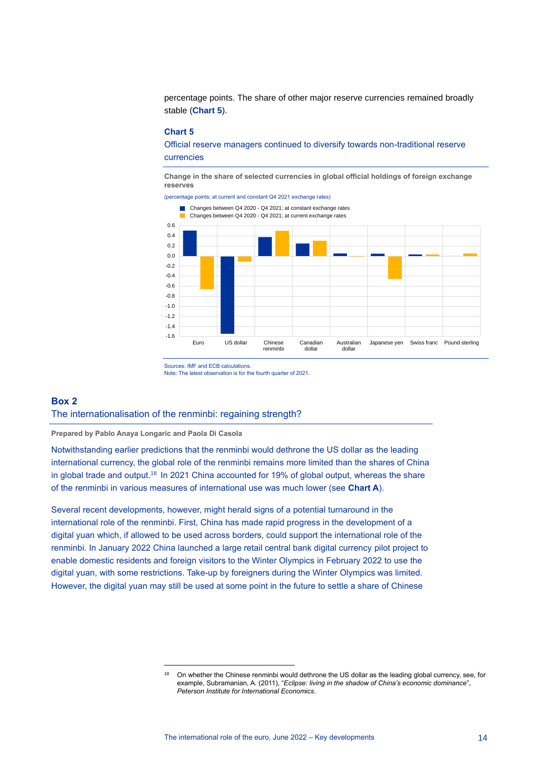percentage points. The share of other major reserve currencies remained broadly stable (**Chart 5**).

#### **Chart 5**

Official reserve managers continued to diversify towards non-traditional reserve currencies

**Change in the share of selected currencies in global official holdings of foreign exchange reserves**

(percentage points; at current and constant Q4 2021 exchange rates)



Sources: IMF and ECB calculations.

Note: The latest observation is for the fourth quarter of 2021.

#### <span id="page-14-0"></span>**Box 2**

#### The internationalisation of the renminbi: regaining strength?

**Prepared by Pablo Anaya Longaric and Paola Di Casola**

Notwithstanding earlier predictions that the renminbi would dethrone the US dollar as the leading international currency, the global role of the renminbi remains more limited than the shares of China in global trade and output.<sup>18</sup> In 2021 China accounted for 19% of global output, whereas the share of the renminbi in various measures of international use was much lower (see **Chart A**).

Several recent developments, however, might herald signs of a potential turnaround in the international role of the renminbi. First, China has made rapid progress in the development of a digital yuan which, if allowed to be used across borders, could support the international role of the renminbi. In January 2022 China launched a large retail central bank digital currency pilot project to enable domestic residents and foreign visitors to the Winter Olympics in February 2022 to use the digital yuan, with some restrictions. Take-up by foreigners during the Winter Olympics was limited. However, the digital yuan may still be used at some point in the future to settle a share of Chinese

<sup>&</sup>lt;sup>18</sup> On whether the Chinese renminbi would dethrone the US dollar as the leading global currency, see, for example, Subramanian, A. (2011), "*Eclipse: living in the shadow of China's economic dominance*", *Peterson Institute for International Economics*.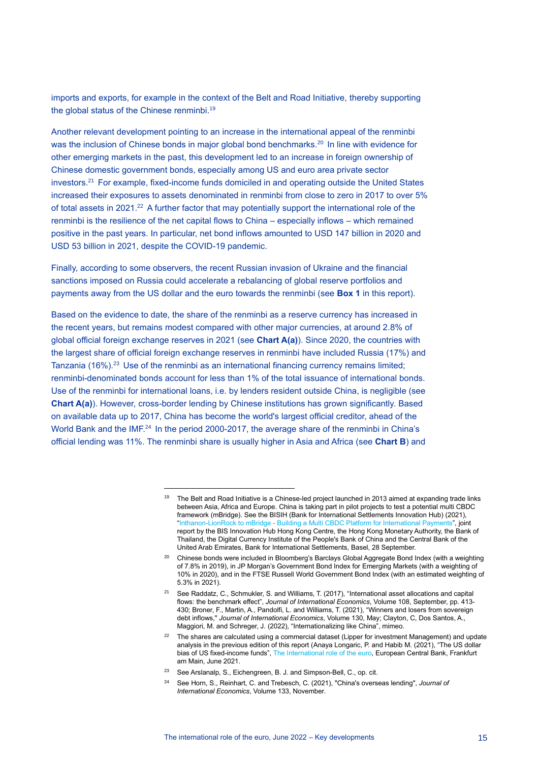imports and exports, for example in the context of the Belt and Road Initiative, thereby supporting the global status of the Chinese renminbi.<sup>19</sup>

Another relevant development pointing to an increase in the international appeal of the renminbi was the inclusion of Chinese bonds in major global bond benchmarks.<sup>20</sup> In line with evidence for other emerging markets in the past, this development led to an increase in foreign ownership of Chinese domestic government bonds, especially among US and euro area private sector investors.<sup>21</sup> For example, fixed-income funds domiciled in and operating outside the United States increased their exposures to assets denominated in renminbi from close to zero in 2017 to over 5% of total assets in 2021.<sup>22</sup> A further factor that may potentially support the international role of the renminbi is the resilience of the net capital flows to China – especially inflows – which remained positive in the past years. In particular, net bond inflows amounted to USD 147 billion in 2020 and USD 53 billion in 2021, despite the COVID-19 pandemic.

Finally, according to some observers, the recent Russian invasion of Ukraine and the financial sanctions imposed on Russia could accelerate a rebalancing of global reserve portfolios and payments away from the US dollar and the euro towards the renminbi (see **Box 1** in this report).

Based on the evidence to date, the share of the renminbi as a reserve currency has increased in the recent years, but remains modest compared with other major currencies, at around 2.8% of global official foreign exchange reserves in 2021 (see **Chart A(a)**). Since 2020, the countries with the largest share of official foreign exchange reserves in renminbi have included Russia (17%) and Tanzania  $(16\%)$ .<sup>23</sup> Use of the renminbi as an international financing currency remains limited; renminbi-denominated bonds account for less than 1% of the total issuance of international bonds. Use of the renminbi for international loans, i.e. by lenders resident outside China, is negligible (see **Chart A(a)**). However, cross-border lending by Chinese institutions has grown significantly. Based on available data up to 2017, China has become the world's largest official creditor, ahead of the World Bank and the IMF. $^{24}$  In the period 2000-2017, the average share of the renminbi in China's official lending was 11%. The renminbi share is usually higher in Asia and Africa (see **Chart B**) and

<sup>&</sup>lt;sup>19</sup> The Belt and Road Initiative is a Chinese-led project launched in 2013 aimed at expanding trade links between Asia, Africa and Europe. China is taking part in pilot projects to test a potential multi CBDC framework (mBridge). See the BISIH (Bank for International Settlements Innovation Hub) (2021), "Inthanon-LionRock to mBridge - [Building a Multi CBDC Platform for International Payments"](https://www.bis.org/publ/othp40.pdf), joint report by the BIS Innovation Hub Hong Kong Centre, the Hong Kong Monetary Authority, the Bank of Thailand, the Digital Currency Institute of the People's Bank of China and the Central Bank of the United Arab Emirates, Bank for International Settlements, Basel, 28 September.

<sup>&</sup>lt;sup>20</sup> Chinese bonds were included in Bloomberg's Barclays Global Aggregate Bond Index (with a weighting of 7.8% in 2019), in JP Morgan's Government Bond Index for Emerging Markets (with a weighting of 10% in 2020), and in the FTSE Russell World Government Bond Index (with an estimated weighting of 5.3% in 2021).

<sup>21</sup> See Raddatz, C., Schmukler, S. and Williams, T. (2017), "International asset allocations and capital flows: the benchmark effect", *Journal of International Economics*, Volume 108, September, pp. 413- 430; Broner, F., Martin, A., Pandolfi, L. and Williams, T. (2021), "Winners and losers from sovereign debt inflows," *Journal of International Economics*, Volume 130, May; Clayton, C, Dos Santos, A., Maggiori, M. and Schreger, J. (2022), "Internationalizing like China", mimeo.

<sup>&</sup>lt;sup>22</sup> The shares are calculated using a commercial dataset (Lipper for investment Management) and update analysis in the previous edition of this report (Anaya Longaric, P. and Habib M. (2021), "The US dollar bias of US fixed-income funds", [The International role of the euro,](https://www.ecb.europa.eu/pub/pdf/ire/ecb.ire202106~a058f84c61.en.pdf) European Central Bank, Frankfurt am Main, June 2021.

<sup>23</sup> See Arslanalp, S., Eichengreen, B. J. and Simpson-Bell, C., op. cit.

<sup>24</sup> See Horn, S., Reinhart, C. and Trebesch, C. (2021), "China's overseas lending", *Journal of International Economics*, Volume 133, November.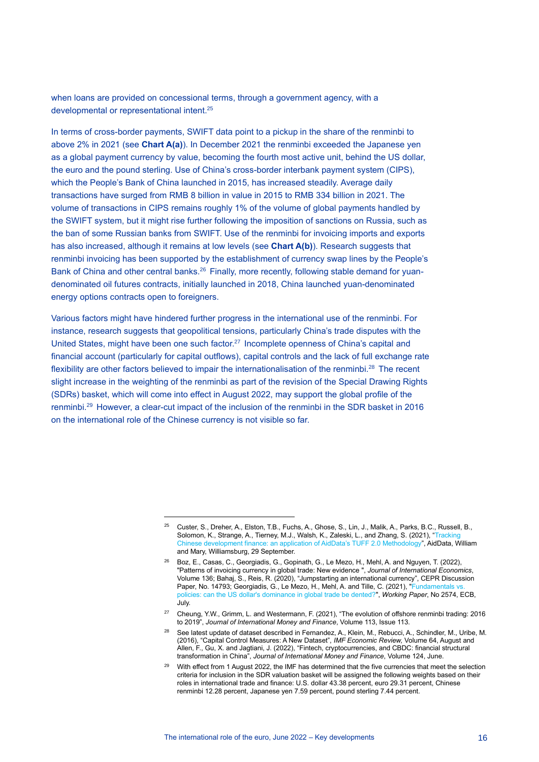when loans are provided on concessional terms, through a government agency, with a developmental or representational intent.<sup>25</sup>

In terms of cross-border payments, SWIFT data point to a pickup in the share of the renminbi to above 2% in 2021 (see **Chart A(a)**). In December 2021 the renminbi exceeded the Japanese yen as a global payment currency by value, becoming the fourth most active unit, behind the US dollar, the euro and the pound sterling. Use of China's cross-border interbank payment system (CIPS), which the People's Bank of China launched in 2015, has increased steadily. Average daily transactions have surged from RMB 8 billion in value in 2015 to RMB 334 billion in 2021. The volume of transactions in CIPS remains roughly 1% of the volume of global payments handled by the SWIFT system, but it might rise further following the imposition of sanctions on Russia, such as the ban of some Russian banks from SWIFT. Use of the renminbi for invoicing imports and exports has also increased, although it remains at low levels (see **Chart A(b)**). Research suggests that renminbi invoicing has been supported by the establishment of currency swap lines by the People's Bank of China and other central banks.<sup>26</sup> Finally, more recently, following stable demand for yuandenominated oil futures contracts, initially launched in 2018, China launched yuan-denominated energy options contracts open to foreigners.

Various factors might have hindered further progress in the international use of the renminbi. For instance, research suggests that geopolitical tensions, particularly China's trade disputes with the United States, might have been one such factor.<sup>27</sup> Incomplete openness of China's capital and financial account (particularly for capital outflows), capital controls and the lack of full exchange rate flexibility are other factors believed to impair the internationalisation of the renminbi.<sup>28</sup> The recent slight increase in the weighting of the renminbi as part of the revision of the Special Drawing Rights (SDRs) basket, which will come into effect in August 2022, may support the global profile of the renminbi.<sup>29</sup> However, a clear-cut impact of the inclusion of the renminbi in the SDR basket in 2016 on the international role of the Chinese currency is not visible so far.

<sup>25</sup> Custer, S., Dreher, A., Elston, T.B., Fuchs, A., Ghose, S., Lin, J., Malik, A., Parks, B.C., Russell, B., Solomon, K., Strange, A., Tierney, M.J., Walsh, K., Zaleski, L., and Zhang, S. (2021), ["Tracking](https://www.aiddata.org/publications/aiddata-tuff-methodology-version-2-0)  [Chinese development finance: an application](https://www.aiddata.org/publications/aiddata-tuff-methodology-version-2-0) of AidData's TUFF 2.0 Methodology", AidData, William and Mary, Williamsburg, 29 September.

<sup>26</sup> Boz, E., Casas, C., Georgiadis, G., Gopinath, G., Le Mezo, H., Mehl, A. and Nguyen, T. (2022), "Patterns of invoicing currency in global trade: New evidence ", *Journal of International Economics*, Volume 136; Bahaj, S., Reis, R. (2020), "Jumpstarting an international currency", CEPR Discussion Paper, No. 14793; Georgiadis, G., Le Mezo, H., Mehl, A. and Tille, C. (2021), "Fundamentals v [policies: can the US dollar's dominance in global trade be dented?"](https://www.ecb.europa.eu/pub/pdf/scpwps/ecb.wp2574~664b8e9249.en.pdf), *Working Paper*, No 2574, ECB, July.

<sup>27</sup> Cheung, Y.W., Grimm, L. and Westermann, F. (2021), "The evolution of offshore renminbi trading: 2016 to 2019", *Journal of International Money and Finance*, Volume 113, Issue 113.

<sup>&</sup>lt;sup>28</sup> See latest update of dataset described in Fernandez, A., Klein, M., Rebucci, A., Schindler, M., Uribe, M. (2016), "Capital Control Measures: A New Dataset", *IMF Economic Review,* Volume 64, August and Allen, F., Gu, X. and Jagtiani, J. (2022), "Fintech, cryptocurrencies, and CBDC: financial structural transformation in China", *Journal of International Money and Finance*, Volume 124, June.

<sup>29</sup> With effect from 1 August 2022, the IMF has determined that the five currencies that meet the selection criteria for inclusion in the SDR valuation basket will be assigned the following weights based on their roles in international trade and finance: U.S. dollar 43.38 percent, euro 29.31 percent, Chinese renminbi 12.28 percent, Japanese yen 7.59 percent, pound sterling 7.44 percent.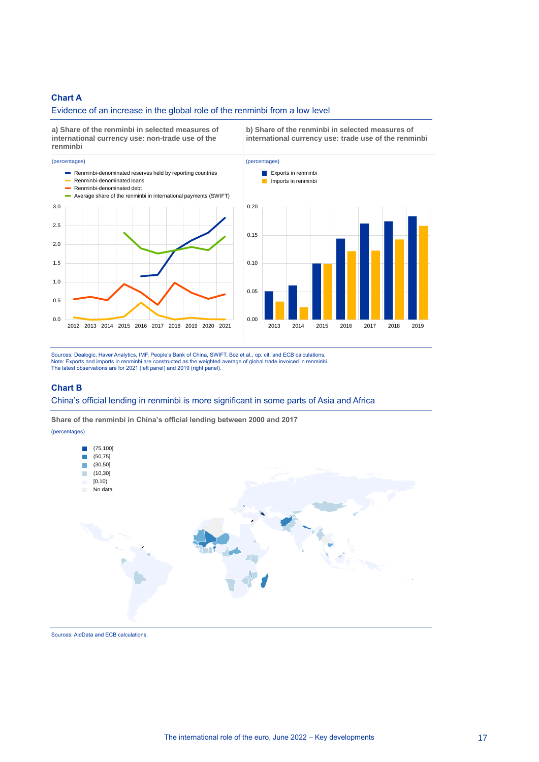#### **Chart A**

#### Evidence of an increase in the global role of the renminbi from a low level



Sources: Dealogic, Haver Analytics, IMF, People's Bank of China, SWIFT, Boz et al., op. cit. and ECB calculations. Note: Exports and imports in renminbi are constructed as the weighted average of global trade invoiced in renminbi. The latest observations are for 2021 (left panel) and 2019 (right panel).

#### **Chart B**

#### China's official lending in renminbi is more significant in some parts of Asia and Africa

**Share of the renminbi in China's official lending between 2000 and 2017**

(percentages)



Sources: AidData and ECB calculations.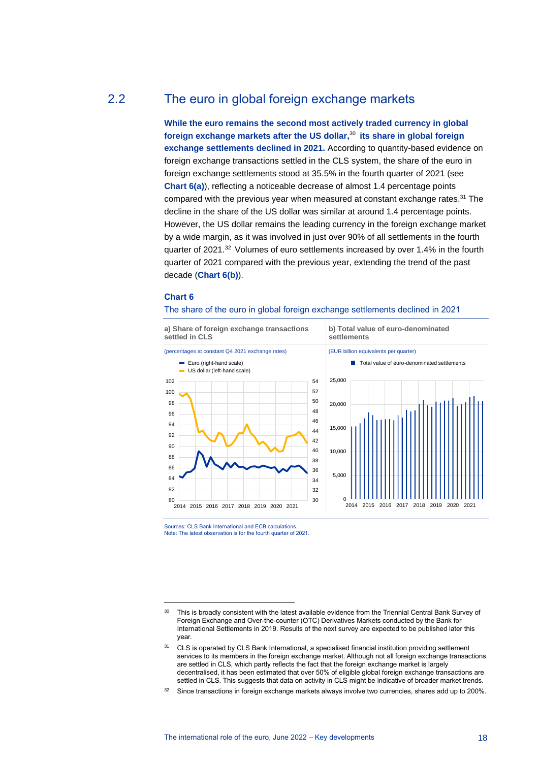## 2.2 The euro in global foreign exchange markets

<span id="page-18-0"></span>**While the euro remains the second most actively traded currency in global foreign exchange markets after the US dollar,** <sup>30</sup> **its share in global foreign exchange settlements declined in 2021.** According to quantity-based evidence on foreign exchange transactions settled in the CLS system, the share of the euro in foreign exchange settlements stood at 35.5% in the fourth quarter of 2021 (see **Chart 6(a)**), reflecting a noticeable decrease of almost 1.4 percentage points compared with the previous year when measured at constant exchange rates.<sup>31</sup> The decline in the share of the US dollar was similar at around 1.4 percentage points. However, the US dollar remains the leading currency in the foreign exchange market by a wide margin, as it was involved in just over 90% of all settlements in the fourth quarter of 2021. <sup>32</sup> Volumes of euro settlements increased by over 1.4% in the fourth quarter of 2021 compared with the previous year, extending the trend of the past decade (**Chart 6(b)**).

#### **Chart 6**

#### The share of the euro in global foreign exchange settlements declined in 2021



Sources: CLS Bank International and ECB calculations. Note: The latest observation is for the fourth quarter of 2021.

<sup>&</sup>lt;sup>30</sup> This is broadly consistent with the latest available evidence from the Triennial Central Bank Survey of Foreign Exchange and Over-the-counter (OTC) Derivatives Markets conducted by the Bank for International Settlements in 2019. Results of the next survey are expected to be published later this year.

<sup>&</sup>lt;sup>31</sup> CLS is operated by CLS Bank International, a specialised financial institution providing settlement services to its members in the foreign exchange market. Although not all foreign exchange transactions are settled in CLS, which partly reflects the fact that the foreign exchange market is largely decentralised, it has been estimated that over 50% of eligible global foreign exchange transactions are settled in CLS. This suggests that data on activity in CLS might be indicative of broader market trends.

<sup>&</sup>lt;sup>32</sup> Since transactions in foreign exchange markets always involve two currencies, shares add up to 200%.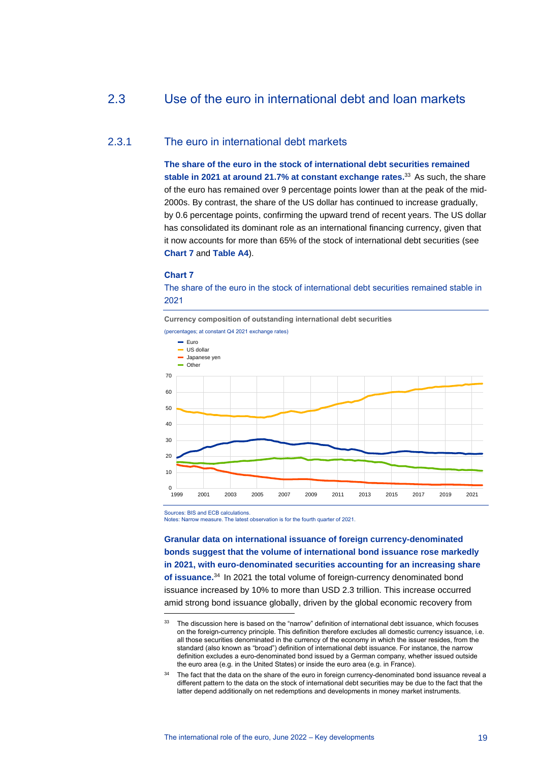## <span id="page-19-0"></span>2.3 Use of the euro in international debt and loan markets

### 2.3.1 The euro in international debt markets

**The share of the euro in the stock of international debt securities remained stable in 2021 at around 21.7% at constant exchange rates.** <sup>33</sup> As such, the share of the euro has remained over 9 percentage points lower than at the peak of the mid-2000s. By contrast, the share of the US dollar has continued to increase gradually, by 0.6 percentage points, confirming the upward trend of recent years. The US dollar has consolidated its dominant role as an international financing currency, given that it now accounts for more than 65% of the stock of international debt securities (see **[Chart 7](https://darwin.escb.eu/livelink/livelink/app/nodes/347745832)** and **[Table A4](https://darwin.escb.eu/livelink/livelink/app/nodes/347789121)**).

#### **Chart 7**

The share of the euro in the stock of international debt securities remained stable in 2021

**Currency composition of outstanding international debt securities** (percentages; at constant Q4 2021 exchange rates) 70 Euro US dollar Japanese yen  $\blacksquare$  Other



Sources: BIS and ECB calculations.

Notes: Narrow measure. The latest observation is for the fourth quarter of 2021.

**Granular data on international issuance of foreign currency-denominated bonds suggest that the volume of international bond issuance rose markedly in 2021, with euro-denominated securities accounting for an increasing share of issuance.** <sup>34</sup> In 2021 the total volume of foreign-currency denominated bond issuance increased by 10% to more than USD 2.3 trillion. This increase occurred amid strong bond issuance globally, driven by the global economic recovery from

<sup>&</sup>lt;sup>33</sup> The discussion here is based on the "narrow" definition of international debt issuance, which focuses on the foreign-currency principle. This definition therefore excludes all domestic currency issuance, i.e. all those securities denominated in the currency of the economy in which the issuer resides, from the standard (also known as "broad") definition of international debt issuance. For instance, the narrow definition excludes a euro-denominated bond issued by a German company, whether issued outside the euro area (e.g. in the United States) or inside the euro area (e.g. in France).

The fact that the data on the share of the euro in foreign currency-denominated bond issuance reveal a different pattern to the data on the stock of international debt securities may be due to the fact that the latter depend additionally on net redemptions and developments in money market instruments.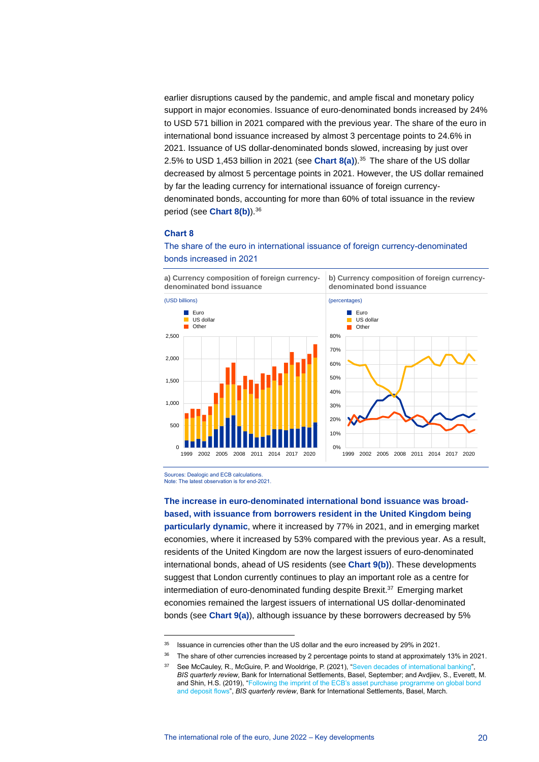earlier disruptions caused by the pandemic, and ample fiscal and monetary policy support in major economies. Issuance of euro-denominated bonds increased by 24% to USD 571 billion in 2021 compared with the previous year. The share of the euro in international bond issuance increased by almost 3 percentage points to 24.6% in 2021. Issuance of US dollar-denominated bonds slowed, increasing by just over 2.5% to USD 1,453 billion in 2021 (see **Chart 8(a)**).<sup>35</sup> The share of the US dollar decreased by almost 5 percentage points in 2021. However, the US dollar remained by far the leading currency for international issuance of foreign currencydenominated bonds, accounting for more than 60% of total issuance in the review period (see **Chart 8(b)**).<sup>36</sup>

#### **Chart 8**

### The share of the euro in international issuance of foreign currency-denominated bonds increased in 2021



**b) Currency composition of foreign currencydenominated bond issuance** 



Sources: Dealogic and ECB calculations. Note: The latest observation is for end-2021.

**The increase in euro-denominated international bond issuance was broadbased, with issuance from borrowers resident in the United Kingdom being particularly dynamic**, where it increased by 77% in 2021, and in emerging market economies, where it increased by 53% compared with the previous year. As a result, residents of the United Kingdom are now the largest issuers of euro-denominated international bonds, ahead of US residents (see **Chart 9(b)**). These developments suggest that London currently continues to play an important role as a centre for intermediation of euro-denominated funding despite Brexit. <sup>37</sup> Emerging market economies remained the largest issuers of international US dollar-denominated bonds (see **Chart 9(a)**), although issuance by these borrowers decreased by 5%

<sup>&</sup>lt;sup>35</sup> Issuance in currencies other than the US dollar and the euro increased by 29% in 2021.

<sup>&</sup>lt;sup>36</sup> The share of other currencies increased by 2 percentage points to stand at approximately 13% in 2021.

See McCauley, R., McGuire, P. and Wooldrige, P. (2021), ["Seven decades of international banking"](https://www.bis.org/publ/qtrpdf/r_qt2109e.pdf) *BIS quarterly review*, Bank for International Settlements, Basel, September; and Avdjiev, S., Everett, M. and Shin, H.S. (2019), ["Following the imprint of the ECB's asset purchase programme on global bond](https://www.bis.org/publ/qtrpdf/r_qt1903g.pdf)  [and deposit flows"](https://www.bis.org/publ/qtrpdf/r_qt1903g.pdf), *BIS quarterly review*, Bank for International Settlements, Basel, March.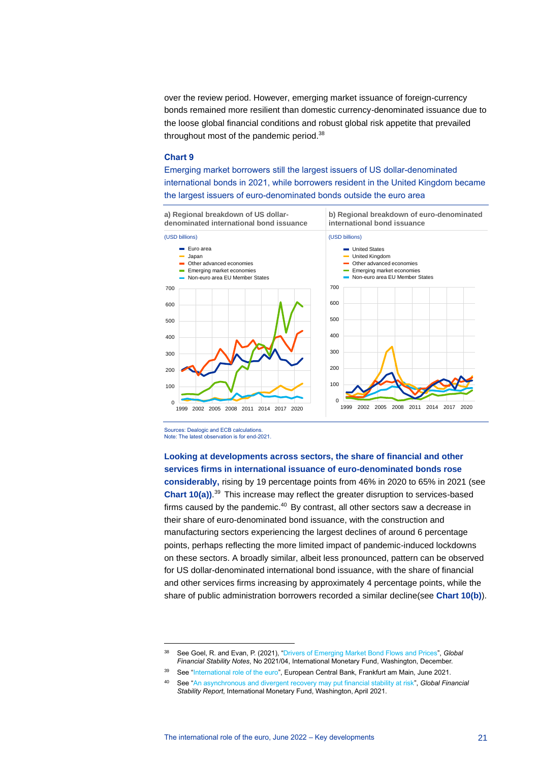over the review period. However, emerging market issuance of foreign-currency bonds remained more resilient than domestic currency-denominated issuance due to the loose global financial conditions and robust global risk appetite that prevailed throughout most of the pandemic period.<sup>38</sup>

#### **Chart 9**

Emerging market borrowers still the largest issuers of US dollar-denominated international bonds in 2021, while borrowers resident in the United Kingdom became the largest issuers of euro-denominated bonds outside the euro area



Sources: Dealogic and ECB calculations. Note: The latest observation is for end-2021.

**Looking at developments across sectors, the share of financial and other services firms in international issuance of euro-denominated bonds rose considerably,** rising by 19 percentage points from 46% in 2020 to 65% in 2021 (see **Chart 10(a))**. <sup>39</sup> This increase may reflect the greater disruption to services-based firms caused by the pandemic. $40$  By contrast, all other sectors saw a decrease in their share of euro-denominated bond issuance, with the construction and manufacturing sectors experiencing the largest declines of around 6 percentage points, perhaps reflecting the more limited impact of pandemic-induced lockdowns on these sectors. A broadly similar, albeit less pronounced, pattern can be observed for US dollar-denominated international bond issuance, with the share of financial and other services firms increasing by approximately 4 percentage points, while the share of public administration borrowers recorded a similar decline(see **Chart 10(b)**).

<sup>38</sup> See Goel, R. and Evan, P. (2021), ["Drivers of Emerging Market Bond Flows and Prices"](https://www.imf.org/en/Publications/global-financial-stability-notes/Issues/2021/12/16/Drivers-of-Emerging-Market-Bond-Flows-and-Prices-511057), *Global Financial Stability Notes*, No 2021/04, International Monetary Fund, Washington, December.

See ["International role of the euro",](https://www.ecb.europa.eu/pub/pdf/ire/ecb.ire202106~a058f84c61.en.pdf) European Central Bank, Frankfurt am Main, June 2021.

<sup>40</sup> See ["An asynchronous and divergent recovery may put financial stability at risk"](https://www.imf.org/en/Publications/GFSR/Issues/2021/04/06/global-financial-stability-report-april-2021#chapter1), *Global Financial Stability Report*, International Monetary Fund, Washington, April 2021.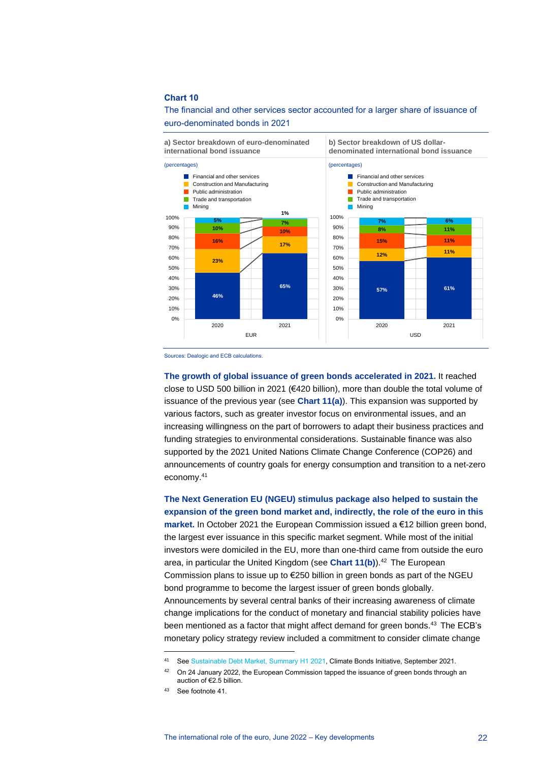#### **Chart 10**

#### The financial and other services sector accounted for a larger share of issuance of euro-denominated bonds in 2021

**a) Sector breakdown of euro-denominated international bond issuance**

**b) Sector breakdown of US dollardenominated international bond issuance**





Sources: Dealogic and ECB calculations.

**The growth of global issuance of green bonds accelerated in 2021.** It reached close to USD 500 billion in 2021 (€420 billion), more than double the total volume of issuance of the previous year (see **Chart 11(a)**). This expansion was supported by various factors, such as greater investor focus on environmental issues, and an increasing willingness on the part of borrowers to adapt their business practices and funding strategies to environmental considerations. Sustainable finance was also supported by the 2021 United Nations Climate Change Conference (COP26) and announcements of country goals for energy consumption and transition to a net-zero economy.<sup>41</sup>

**The Next Generation EU (NGEU) stimulus package also helped to sustain the expansion of the green bond market and, indirectly, the role of the euro in this market.** In October 2021 the European Commission issued a €12 billion green bond, the largest ever issuance in this specific market segment. While most of the initial investors were domiciled in the EU, more than one-third came from outside the euro area, in particular the United Kingdom (see Chart 11(b)).<sup>42</sup> The European Commission plans to issue up to €250 billion in green bonds as part of the NGEU bond programme to become the largest issuer of green bonds globally. Announcements by several central banks of their increasing awareness of climate change implications for the conduct of monetary and financial stability policies have been mentioned as a factor that might affect demand for green bonds.<sup>43</sup> The ECB's monetary policy strategy review included a commitment to consider climate change

<sup>41</sup> Se[e Sustainable Debt Market, Summary H1 2021,](https://www.climatebonds.net/files/reports/cbi_susdebtsum_h12021_02b.pdf) Climate Bonds Initiative, September 2021.

 $42$  On 24 January 2022, the European Commission tapped the issuance of green bonds through an auction of €2.5 billion.

<sup>43</sup> See footnote 41.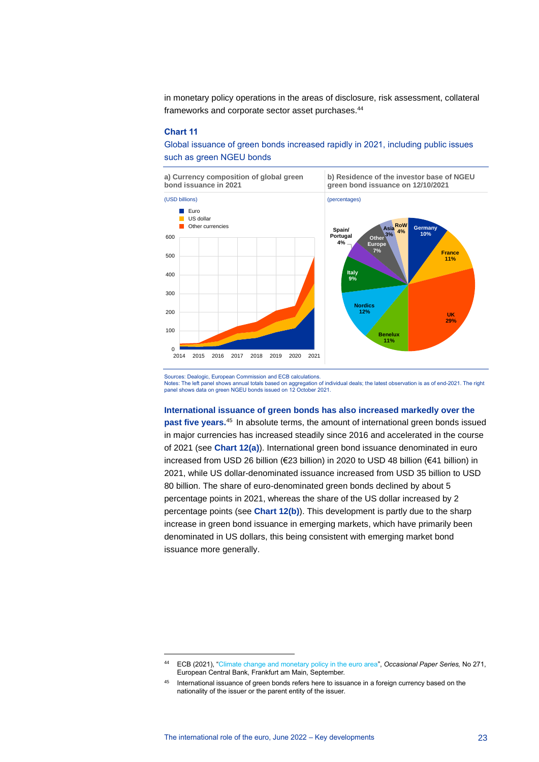in monetary policy operations in the areas of disclosure, risk assessment, collateral frameworks and corporate sector asset purchases.<sup>44</sup>

#### **Chart 11**

Global issuance of green bonds increased rapidly in 2021, including public issues such as green NGEU bonds



Sources: Dealogic, European Commission and ECB calculations. Notes: The left panel shows annual totals based on aggregation of individual deals; the latest observation is as of end-2021. The right panel shows data on green NGEU bonds issued on 12 October 2021.

#### **International issuance of green bonds has also increased markedly over the**

**past five years.**<sup>45</sup> In absolute terms, the amount of international green bonds issued in major currencies has increased steadily since 2016 and accelerated in the course of 2021 (see **Chart 12(a)**). International green bond issuance denominated in euro increased from USD 26 billion (€23 billion) in 2020 to USD 48 billion (€41 billion) in 2021, while US dollar-denominated issuance increased from USD 35 billion to USD 80 billion. The share of euro-denominated green bonds declined by about 5 percentage points in 2021, whereas the share of the US dollar increased by 2 percentage points (see **Chart 12(b)**). This development is partly due to the sharp increase in green bond issuance in emerging markets, which have primarily been denominated in US dollars, this being consistent with emerging market bond issuance more generally.

<sup>44</sup> ECB (2021), ["Climate change and monetary policy in the euro area",](https://www.ecb.europa.eu/pub/pdf/scpops/ecb.op271~36775d43c8.en.pdf) *Occasional Paper Series,* No 271, European Central Bank, Frankfurt am Main, September.

<sup>45</sup> International issuance of green bonds refers here to issuance in a foreign currency based on the nationality of the issuer or the parent entity of the issuer.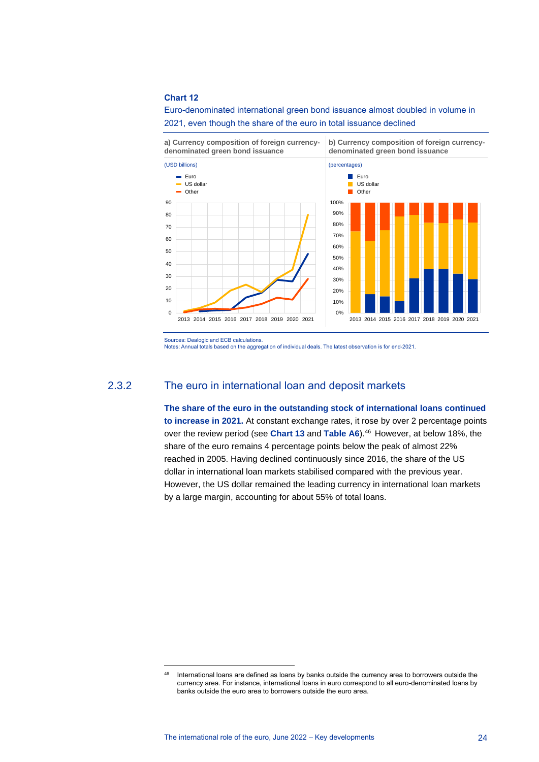#### **Chart 12**

Euro-denominated international green bond issuance almost doubled in volume in 2021, even though the share of the euro in total issuance declined

**a) Currency composition of foreign currencydenominated green bond issuance**



**b) Currency composition of foreign currencydenominated green bond issuance**



Notes: Annual totals based on the aggregation of individual deals. The latest observation is for end-2021.

## 2.3.2 The euro in international loan and deposit markets

**The share of the euro in the outstanding stock of international loans continued to increase in 2021.** At constant exchange rates, it rose by over 2 percentage points over the review period (see **Chart 13** and **Table A6**).<sup>46</sup> However, at below 18%, the share of the euro remains 4 percentage points below the peak of almost 22% reached in 2005. Having declined continuously since 2016, the share of the US dollar in international loan markets stabilised compared with the previous year. However, the US dollar remained the leading currency in international loan markets by a large margin, accounting for about 55% of total loans.

Sources: Dealogic and ECB calculations.

<sup>46</sup> International loans are defined as loans by banks outside the currency area to borrowers outside the currency area. For instance, international loans in euro correspond to all euro-denominated loans by banks outside the euro area to borrowers outside the euro area.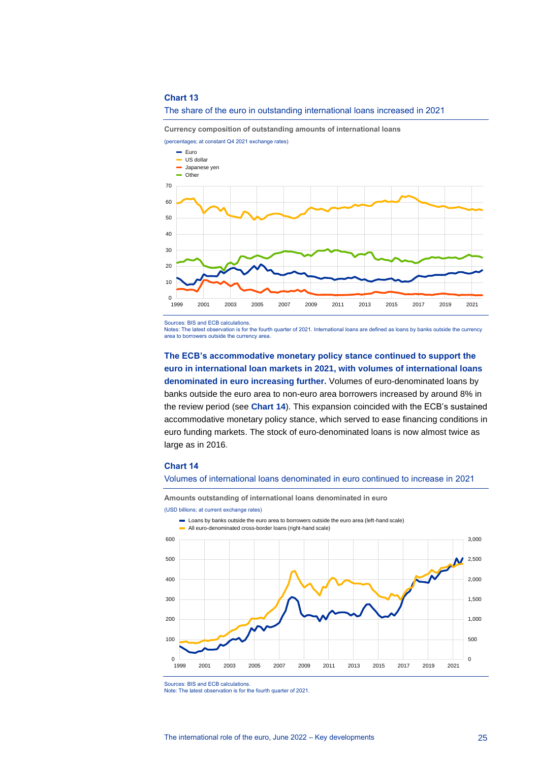#### **Chart 13**



**Currency composition of outstanding amounts of international loans**



Sources: BIS and ECB calculations.

Notes: The latest observation is for the fourth quarter of 2021. International loans are defined as loans by banks outside the currency area to borrowers outside the currency area.

## **The ECB's accommodative monetary policy stance continued to support the euro in international loan markets in 2021, with volumes of international loans denominated in euro increasing further.** Volumes of euro-denominated loans by banks outside the euro area to non-euro area borrowers increased by around 8% in the review period (see **Chart 14**). This expansion coincided with the ECB's sustained accommodative monetary policy stance, which served to ease financing conditions in euro funding markets. The stock of euro-denominated loans is now almost twice as large as in 2016**.**

#### **Chart 14**

#### Volumes of international loans denominated in euro continued to increase in 2021

**Amounts outstanding of international loans denominated in euro**







Sources: BIS and ECB calculations.

Note: The latest observation is for the fourth quarter of 2021.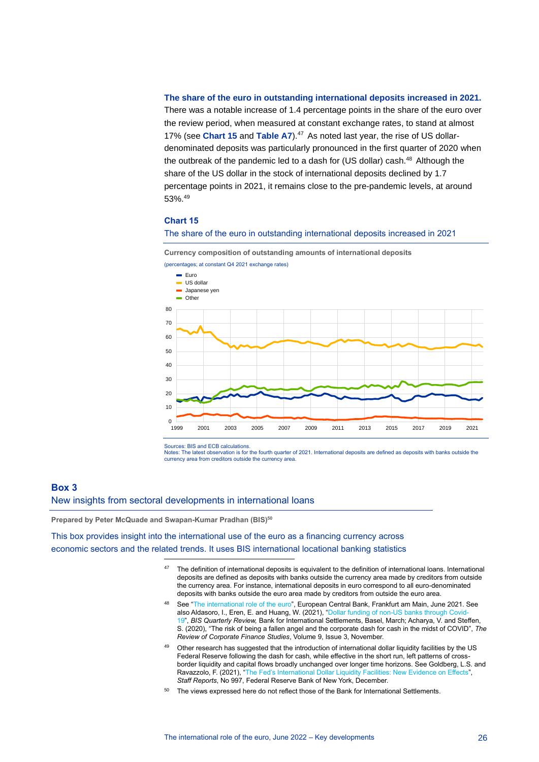#### **The share of the euro in outstanding international deposits increased in 2021.**

There was a notable increase of 1.4 percentage points in the share of the euro over the review period, when measured at constant exchange rates, to stand at almost 17% (see **Chart 15** and **Table A7**). <sup>47</sup> As noted last year, the rise of US dollardenominated deposits was particularly pronounced in the first quarter of 2020 when the outbreak of the pandemic led to a dash for (US dollar) cash.<sup>48</sup> Although the share of the US dollar in the stock of international deposits declined by 1.7 percentage points in 2021, it remains close to the pre-pandemic levels, at around  $53\%$ . $49$ 

#### **Chart 15**

#### The share of the euro in outstanding international deposits increased in 2021

**Currency composition of outstanding amounts of international deposits**



Sources: BIS and ECB calculations.

Notes: The latest observation is for the fourth quarter of 2021. International deposits are defined as deposits with banks outside the currency area from creditors outside the currency area.

#### <span id="page-26-0"></span>**Box 3**

New insights from sectoral developments in international loans

**Prepared by Peter McQuade and Swapan-Kumar Pradhan (BIS) 50**

This box provides insight into the international use of the euro as a financing currency across economic sectors and the related trends. It uses BIS international locational banking statistics

- 47 The definition of international deposits is equivalent to the definition of international loans. International deposits are defined as deposits with banks outside the currency area made by creditors from outside the currency area. For instance, international deposits in euro correspond to all euro-denominated deposits with banks outside the euro area made by creditors from outside the euro area.
- 48 See ["The international role of the euro"](https://www.ecb.europa.eu/pub/pdf/ire/ecb.ire202106~a058f84c61.en.pdf), European Central Bank, Frankfurt am Main, June 2021. See also Aldasoro, I., Eren, E. and Huang, W. (2021), ["Dollar funding of non-US banks through Covid-](https://www.bis.org/publ/qtrpdf/r_qt2103c.htm)[19"](https://www.bis.org/publ/qtrpdf/r_qt2103c.htm), *BIS Quarterly Review,* Bank for International Settlements, Basel, March; Acharya, V. and Steffen, S. (2020), "The risk of being a fallen angel and the corporate dash for cash in the midst of COVID", *The Review of Corporate Finance Studies*, Volume 9, Issue 3, November.
- Other research has suggested that the introduction of international dollar liquidity facilities by the US Federal Reserve following the dash for cash, while effective in the short run, left patterns of crossborder liquidity and capital flows broadly unchanged over longer time horizons. See Goldberg, L.S. and Ravazzolo, F. (2021), ["The Fed's International Dollar Liquidity Facilities: New Evidence on Effects"](https://www.newyorkfed.org/research/staff_reports/sr997), *Staff Reports*, No 997, Federal Reserve Bank of New York, December.
- <sup>50</sup> The views expressed here do not reflect those of the Bank for International Settlements.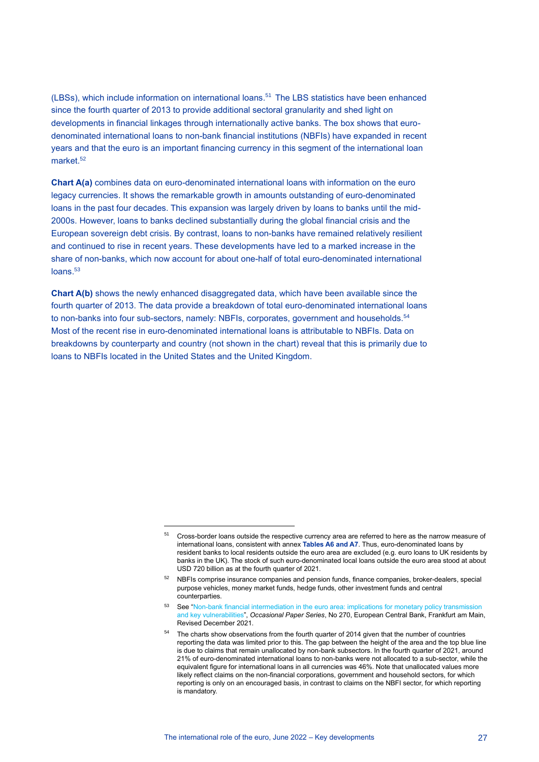(LBSs), which include information on international loans.<sup>51</sup> The LBS statistics have been enhanced since the fourth quarter of 2013 to provide additional sectoral granularity and shed light on developments in financial linkages through internationally active banks. The box shows that eurodenominated international loans to non-bank financial institutions (NBFIs) have expanded in recent years and that the euro is an important financing currency in this segment of the international loan market.<sup>52</sup>

**Chart A(a)** combines data on euro-denominated international loans with information on the euro legacy currencies. It shows the remarkable growth in amounts outstanding of euro-denominated loans in the past four decades. This expansion was largely driven by loans to banks until the mid-2000s. However, loans to banks declined substantially during the global financial crisis and the European sovereign debt crisis. By contrast, loans to non-banks have remained relatively resilient and continued to rise in recent years. These developments have led to a marked increase in the share of non-banks, which now account for about one-half of total euro-denominated international loans. 53

**Chart A(b)** shows the newly enhanced disaggregated data, which have been available since the fourth quarter of 2013. The data provide a breakdown of total euro-denominated international loans to non-banks into four sub-sectors, namely: NBFIs, corporates, government and households.<sup>54</sup> Most of the recent rise in euro-denominated international loans is attributable to NBFIs. Data on breakdowns by counterparty and country (not shown in the chart) reveal that this is primarily due to loans to NBFIs located in the United States and the United Kingdom.

<sup>&</sup>lt;sup>51</sup> Cross-border loans outside the respective currency area are referred to here as the narrow measure of international loans, consistent with annex **Tables A6 and A7**. Thus, euro-denominated loans by resident banks to local residents outside the euro area are excluded (e.g. euro loans to UK residents by banks in the UK). The stock of such euro-denominated local loans outside the euro area stood at about USD 720 billion as at the fourth quarter of 2021.

<sup>&</sup>lt;sup>52</sup> NBFIs comprise insurance companies and pension funds, finance companies, broker-dealers, special purpose vehicles, money market funds, hedge funds, other investment funds and central counterparties.

<sup>53</sup> See "Non-bank financial intermediation in the euro area: implications for monetary policy transmission and key vulnerabilities", *Occasional Paper Series*[, No 270, European Central Bank, Frankfurt am Main,](https://www.ecb.europa.eu/pub/pdf/scpops/ecb.op270~36f79cd6ca.en.pdf)  [Revised December 2021.](https://www.ecb.europa.eu/pub/pdf/scpops/ecb.op270~36f79cd6ca.en.pdf)

<sup>&</sup>lt;sup>54</sup> The charts show observations from the fourth quarter of 2014 given that the number of countries reporting the data was limited prior to this. The gap between the height of the area and the top blue line is due to claims that remain unallocated by non-bank subsectors. In the fourth quarter of 2021, around 21% of euro-denominated international loans to non-banks were not allocated to a sub-sector, while the equivalent figure for international loans in all currencies was 46%. Note that unallocated values more likely reflect claims on the non-financial corporations, government and household sectors, for which reporting is only on an encouraged basis, in contrast to claims on the NBFI sector, for which reporting is mandatory.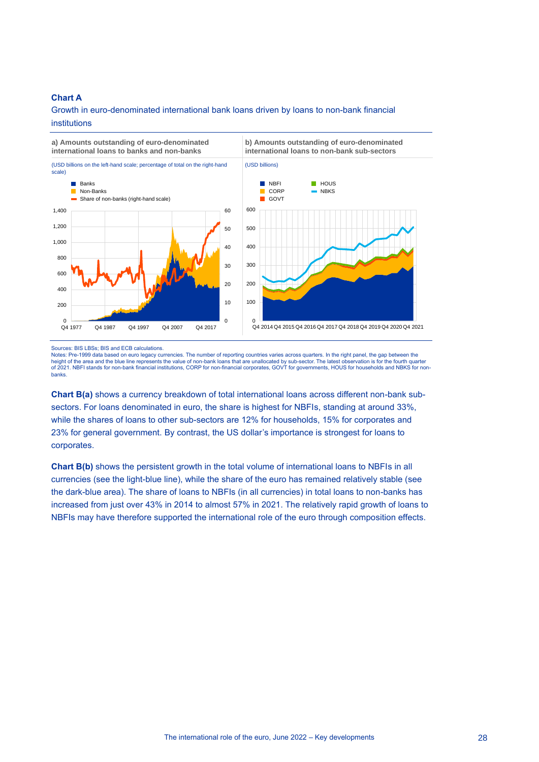#### **Chart A**

## Growth in euro-denominated international bank loans driven by loans to non-bank financial

**b) Amounts outstanding of euro-denominated**

#### institutions

**a) Amounts outstanding of euro-denominated international loans to banks and non-banks** 



Sources: BIS LBSs; BIS and ECB calculations.

Notes: Pre-1999 data based on euro legacy currencies. The number of reporting countries varies across quarters. In the right panel, the gap between the<br>height of the area and the blue line represents the value of non-bank of 2021. NBFI stands for non-bank financial institutions, CORP for non-financial corporates, GOVT for governments, HOUS for households and NBKS for nonbanks.

**Chart B(a)** shows a currency breakdown of total international loans across different non-bank subsectors. For loans denominated in euro, the share is highest for NBFIs, standing at around 33%, while the shares of loans to other sub-sectors are 12% for households, 15% for corporates and 23% for general government. By contrast, the US dollar's importance is strongest for loans to corporates.

**Chart B(b)** shows the persistent growth in the total volume of international loans to NBFIs in all currencies (see the light-blue line), while the share of the euro has remained relatively stable (see the dark-blue area). The share of loans to NBFIs (in all currencies) in total loans to non-banks has increased from just over 43% in 2014 to almost 57% in 2021. The relatively rapid growth of loans to NBFIs may have therefore supported the international role of the euro through composition effects.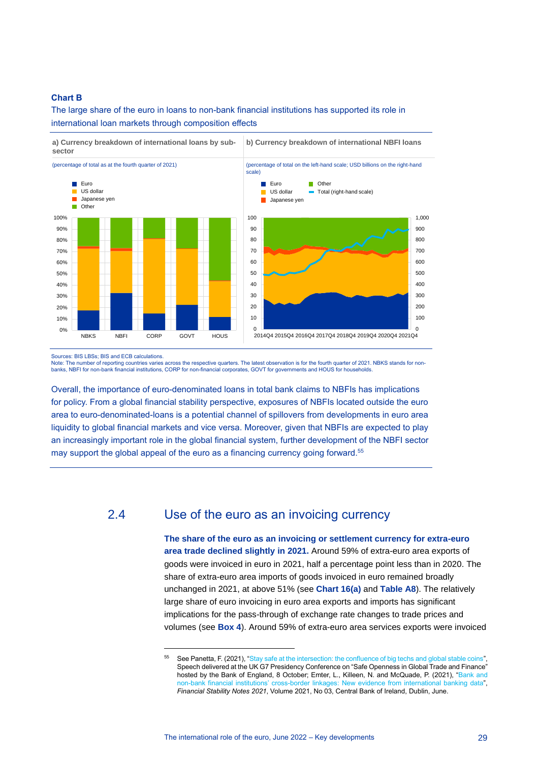#### **Chart B**

The large share of the euro in loans to non-bank financial institutions has supported its role in international loan markets through composition effects



Sources: BIS LBSs; BIS and ECB calculations.

Note: The number of reporting countries varies across the respective quarters. The latest observation is for the fourth quarter of 2021. NBKS stands for nonbanks, NBFI for non-bank financial institutions, CORP for non-financial corporates, GOVT for governments and HOUS for households.

Overall, the importance of euro-denominated loans in total bank claims to NBFIs has implications for policy. From a global financial stability perspective, exposures of NBFIs located outside the euro area to euro-denominated-loans is a potential channel of spillovers from developments in euro area liquidity to global financial markets and vice versa. Moreover, given that NBFIs are expected to play an increasingly important role in the global financial system, further development of the NBFI sector may support the global appeal of the euro as a financing currency going forward. 55

## 2.4 Use of the euro as an invoicing currency

<span id="page-29-0"></span>**The share of the euro as an invoicing or settlement currency for extra-euro area trade declined slightly in 2021.** Around 59% of extra-euro area exports of goods were invoiced in euro in 2021, half a percentage point less than in 2020. The share of extra-euro area imports of goods invoiced in euro remained broadly unchanged in 2021, at above 51% (see **Chart 16(a)** and **Table A8**). The relatively large share of euro invoicing in euro area exports and imports has significant implications for the pass-through of exchange rate changes to trade prices and volumes (see **Box 4**). Around 59% of extra-euro area services exports were invoiced

<sup>&</sup>lt;sup>55</sup> See Panetta, F. (2021), ["Stay safe at the intersection: the confluence of big techs and global stable coins"](https://www.ecb.europa.eu/press/key/date/2021/html/ecb.sp211008~3c37b106cf.en.html), Speech delivered at the UK G7 Presidency Conference on "Safe Openness in Global Trade and Finance" hosted by the Bank of England, 8 October; Emter, L., Killeen, N. and McQuade, P. (2021), ["Bank and](https://www.centralbank.ie/docs/default-source/publications/financial-stability-notes/no-3-bank-and-non-bank-financial-institutions.pdf?sfvrsn=7)  non-bank financial institutions' cross-border [linkages: New evidence from international banking data"](https://www.centralbank.ie/docs/default-source/publications/financial-stability-notes/no-3-bank-and-non-bank-financial-institutions.pdf?sfvrsn=7), *Financial Stability Notes 2021*, Volume 2021, No 03, Central Bank of Ireland, Dublin, June.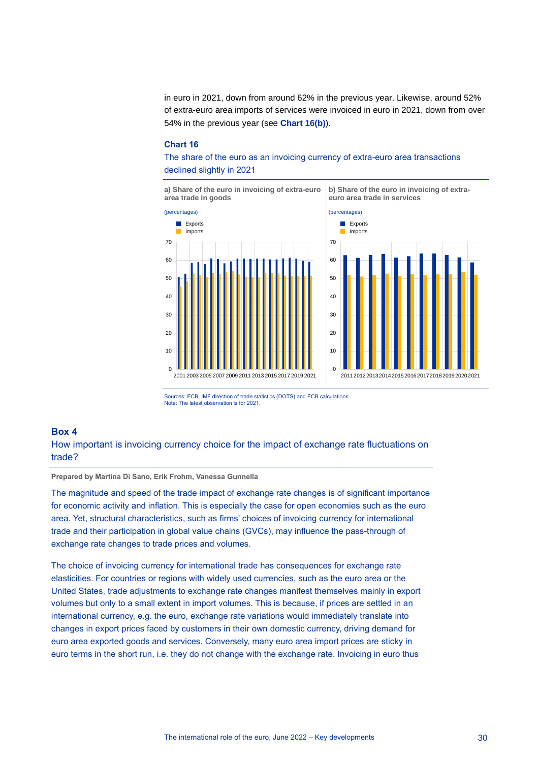in euro in 2021, down from around 62% in the previous year. Likewise, around 52% of extra-euro area imports of services were invoiced in euro in 2021, down from over 54% in the previous year (see **Chart 16(b)**).

#### **Chart 16**

The share of the euro as an invoicing currency of extra-euro area transactions declined slightly in 2021



Sources: ECB, IMF direction of trade statistics (DOTS) and ECB calculations. Note: The latest observation is for 2021.

#### <span id="page-30-0"></span>**Box 4**

How important is invoicing currency choice for the impact of exchange rate fluctuations on trade?

#### **Prepared by Martina Di Sano, Erik Frohm, Vanessa Gunnella**

The magnitude and speed of the trade impact of exchange rate changes is of significant importance for economic activity and inflation. This is especially the case for open economies such as the euro area. Yet, structural characteristics, such as firms' choices of invoicing currency for international trade and their participation in global value chains (GVCs), may influence the pass-through of exchange rate changes to trade prices and volumes.

The choice of invoicing currency for international trade has consequences for exchange rate elasticities. For countries or regions with widely used currencies, such as the euro area or the United States, trade adjustments to exchange rate changes manifest themselves mainly in export volumes but only to a small extent in import volumes. This is because, if prices are settled in an international currency, e.g. the euro, exchange rate variations would immediately translate into changes in export prices faced by customers in their own domestic currency, driving demand for euro area exported goods and services. Conversely, many euro area import prices are sticky in euro terms in the short run, i.e. they do not change with the exchange rate. Invoicing in euro thus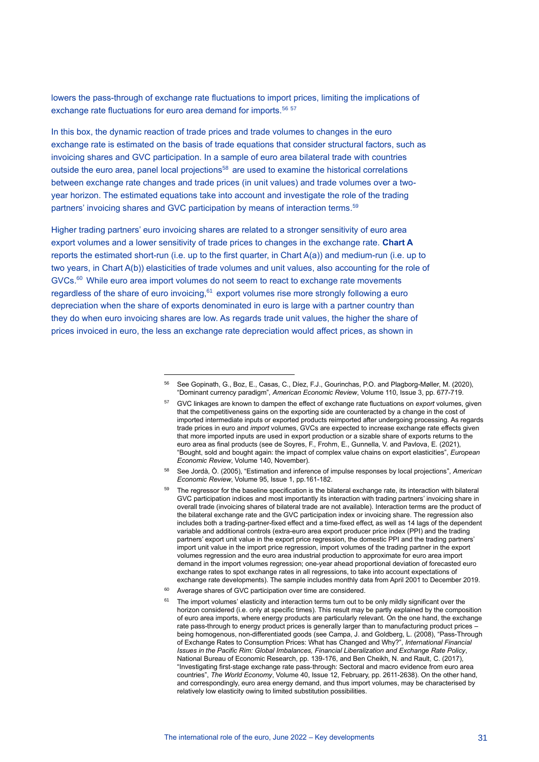lowers the pass-through of exchange rate fluctuations to import prices, limiting the implications of exchange rate fluctuations for euro area demand for imports.<sup>56 57</sup>

In this box, the dynamic reaction of trade prices and trade volumes to changes in the euro exchange rate is estimated on the basis of trade equations that consider structural factors, such as invoicing shares and GVC participation. In a sample of euro area bilateral trade with countries outside the euro area, panel local projections<sup>58</sup> are used to examine the historical correlations between exchange rate changes and trade prices (in unit values) and trade volumes over a twoyear horizon. The estimated equations take into account and investigate the role of the trading partners' invoicing shares and GVC participation by means of interaction terms.<sup>59</sup>

Higher trading partners' euro invoicing shares are related to a stronger sensitivity of euro area export volumes and a lower sensitivity of trade prices to changes in the exchange rate. **Chart A** reports the estimated short-run (i.e. up to the first quarter, in Chart A(a)) and medium-run (i.e. up to two years, in Chart A(b)) elasticities of trade volumes and unit values, also accounting for the role of  $GVCs<sup>60</sup>$  While euro area import volumes do not seem to react to exchange rate movements regardless of the share of euro invoicing, <sup>61</sup> export volumes rise more strongly following a euro depreciation when the share of exports denominated in euro is large with a partner country than they do when euro invoicing shares are low. As regards trade unit values, the higher the share of prices invoiced in euro, the less an exchange rate depreciation would affect prices, as shown in

- <sup>58</sup> See Jordà, Ò. (2005), "Estimation and inference of impulse responses by local projections", *American Economic Review*, Volume 95, Issue 1, pp.161-182.
- <sup>59</sup> The regressor for the baseline specification is the bilateral exchange rate, its interaction with bilateral GVC participation indices and most importantly its interaction with trading partners' invoicing share in overall trade (invoicing shares of bilateral trade are not available). Interaction terms are the product of the bilateral exchange rate and the GVC participation index or invoicing share. The regression also includes both a trading-partner-fixed effect and a time-fixed effect, as well as 14 lags of the dependent variable and additional controls (extra-euro area export producer price index (PPI) and the trading partners' export unit value in the export price regression, the domestic PPI and the trading partners' import unit value in the import price regression, import volumes of the trading partner in the export volumes regression and the euro area industrial production to approximate for euro area import demand in the import volumes regression; one-year ahead proportional deviation of forecasted euro exchange rates to spot exchange rates in all regressions, to take into account expectations of exchange rate developments). The sample includes monthly data from April 2001 to December 2019.
- <sup>60</sup> Average shares of GVC participation over time are considered.
- $61$  The import volumes' elasticity and interaction terms turn out to be only mildly significant over the horizon considered (i.e. only at specific times). This result may be partly explained by the composition of euro area imports, where energy products are particularly relevant. On the one hand, the exchange rate pass-through to energy product prices is generally larger than to manufacturing product prices – being homogenous, non-differentiated goods (see Campa, J. and Goldberg, L. (2008), "Pass-Through of Exchange Rates to Consumption Prices: What has Changed and Why?", *International Financial Issues in the Pacific Rim: Global Imbalances, Financial Liberalization and Exchange Rate Policy*, National Bureau of Economic Research, pp. 139-176, and Ben Cheikh, N. and Rault, C. (2017), "Investigating first‐stage exchange rate pass‐through: Sectoral and macro evidence from euro area countries", *The World Economy*, Volume 40, Issue 12, February, pp. 2611-2638). On the other hand, and correspondingly, euro area energy demand, and thus import volumes, may be characterised by relatively low elasticity owing to limited substitution possibilities.

<sup>56</sup> See Gopinath, G., Boz, E., Casas, C., Díez, F.J., Gourinchas, P.O. and Plagborg-Møller, M. (2020), "Dominant currency paradigm", *American Economic Review*, Volume 110, Issue 3, pp. 677-719.

<sup>57</sup> GVC linkages are known to dampen the effect of exchange rate fluctuations on *export* volumes, given that the competitiveness gains on the exporting side are counteracted by a change in the cost of imported intermediate inputs or exported products reimported after undergoing processing. As regards trade prices in euro and *import* volumes, GVCs are expected to increase exchange rate effects given that more imported inputs are used in export production or a sizable share of exports returns to the euro area as final products (see de Soyres, F., Frohm, E., Gunnella, V. and Pavlova, E. (2021), "Bought, sold and bought again: the impact of complex value chains on export elasticities", *European Economic Review*, Volume 140, November).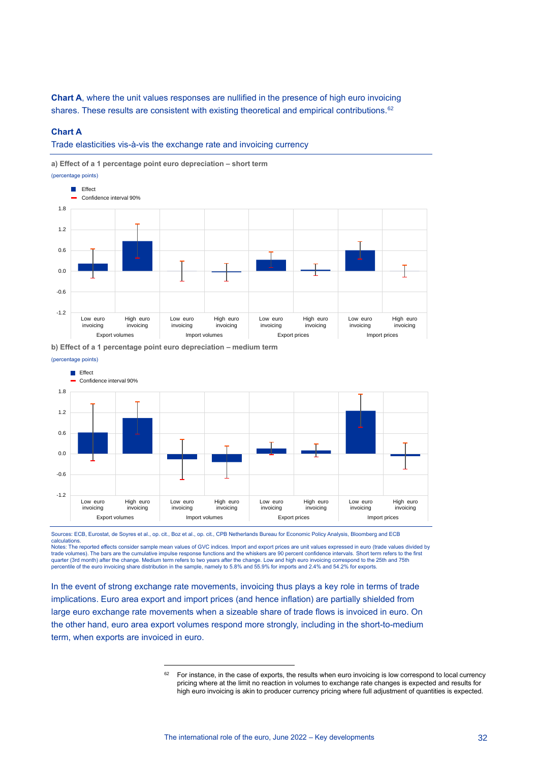**Chart A**, where the unit values responses are nullified in the presence of high euro invoicing shares. These results are consistent with existing theoretical and empirical contributions.<sup>62</sup>

#### **Chart A**

Trade elasticities vis-à-vis the exchange rate and invoicing currency

**a) Effect of a 1 percentage point euro depreciation – short term**



**b) Effect of a 1 percentage point euro depreciation – medium term**



Sources: ECB, Eurostat, de Soyres et al., op. cit., Boz et al., op. cit., CPB Netherlands Bureau for Economic Policy Analysis, Bloomberg and ECB calculations.

Notes: The reported effects consider sample mean values of GVC indices. Import and export prices are unit values expressed in euro (trade values divided by trade volumes). The bars are the cumulative impulse response functions and the whiskers are 90 percent confidence intervals. Short term refers to the first quarter (3rd month) after the change. Medium term refers to two years after the change. Low and high euro invoicing correspond to the 25th and 75th<br>percentile of the euro invoicing share distribution in the sample, namely

In the event of strong exchange rate movements, invoicing thus plays a key role in terms of trade implications. Euro area export and import prices (and hence inflation) are partially shielded from large euro exchange rate movements when a sizeable share of trade flows is invoiced in euro. On the other hand, euro area export volumes respond more strongly, including in the short-to-medium term, when exports are invoiced in euro.

For instance, in the case of exports, the results when euro invoicing is low correspond to local currency pricing where at the limit no reaction in volumes to exchange rate changes is expected and results for high euro invoicing is akin to producer currency pricing where full adjustment of quantities is expected.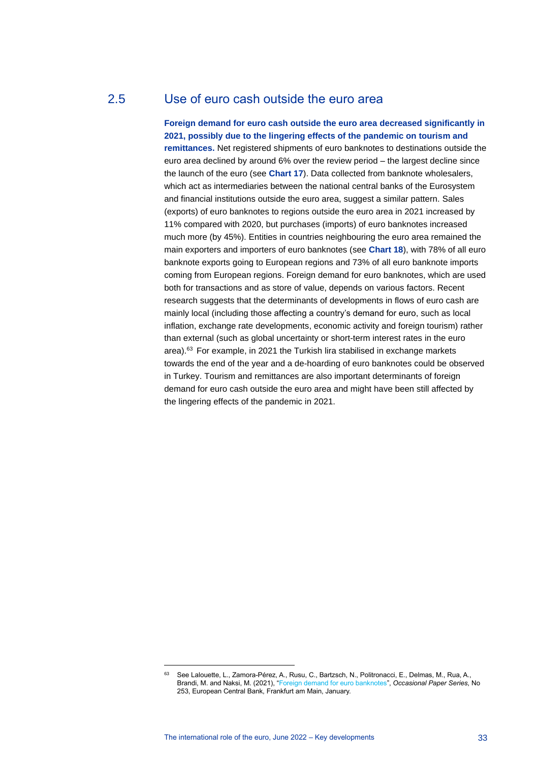## 2.5 Use of euro cash outside the euro area

<span id="page-33-0"></span>**Foreign demand for euro cash outside the euro area decreased significantly in 2021, possibly due to the lingering effects of the pandemic on tourism and remittances.** Net registered shipments of euro banknotes to destinations outside the euro area declined by around 6% over the review period – the largest decline since the launch of the euro (see **Chart 17**). Data collected from banknote wholesalers, which act as intermediaries between the national central banks of the Eurosystem and financial institutions outside the euro area, suggest a similar pattern. Sales (exports) of euro banknotes to regions outside the euro area in 2021 increased by 11% compared with 2020, but purchases (imports) of euro banknotes increased much more (by 45%). Entities in countries neighbouring the euro area remained the main exporters and importers of euro banknotes (see **Chart 18**), with 78% of all euro banknote exports going to European regions and 73% of all euro banknote imports coming from European regions. Foreign demand for euro banknotes, which are used both for transactions and as store of value, depends on various factors. Recent research suggests that the determinants of developments in flows of euro cash are mainly local (including those affecting a country's demand for euro, such as local inflation, exchange rate developments, economic activity and foreign tourism) rather than external (such as global uncertainty or short-term interest rates in the euro area). <sup>63</sup> For example, in 2021 the Turkish lira stabilised in exchange markets towards the end of the year and a de-hoarding of euro banknotes could be observed in Turkey. Tourism and remittances are also important determinants of foreign demand for euro cash outside the euro area and might have been still affected by the lingering effects of the pandemic in 2021.

<sup>63</sup> See Lalouette, L., Zamora-Pérez, A., Rusu, C., Bartzsch, N., Politronacci, E., Delmas, M., Rua, A., Brandi, M. and Naksi, M. (2021), ["Foreign demand for euro banknotes"](https://www.ecb.europa.eu/pub/pdf/scpops/ecb.op253~5a3d5de1d1.en.pdf), *Occasional Paper Series*, No 253, European Central Bank, Frankfurt am Main, January.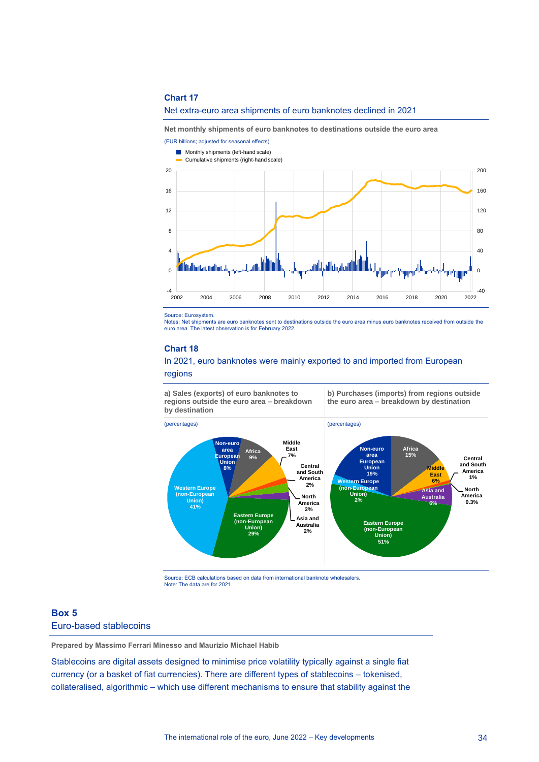#### **Chart 17**

#### Net extra-euro area shipments of euro banknotes declined in 2021

**Net monthly shipments of euro banknotes to destinations outside the euro area**



Source: Eurosystem.

Notes: Net shipments are euro banknotes sent to destinations outside the euro area minus euro banknotes received from outside the euro area. The latest observation is for February 2022.

#### **Chart 18**

#### In 2021, euro banknotes were mainly exported to and imported from European

regions

**a) Sales (exports) of euro banknotes to regions outside the euro area – breakdown by destination** 

**b) Purchases (imports) from regions outside the euro area – breakdown by destination**



Source: ECB calculations based on data from international banknote wholesalers. Note: The data are for 2021.

#### <span id="page-34-0"></span>**Box 5** Euro-based stablecoins

**Prepared by Massimo Ferrari Minesso and Maurizio Michael Habib**

Stablecoins are digital assets designed to minimise price volatility typically against a single fiat currency (or a basket of fiat currencies). There are different types of stablecoins – tokenised, collateralised, algorithmic – which use different mechanisms to ensure that stability against the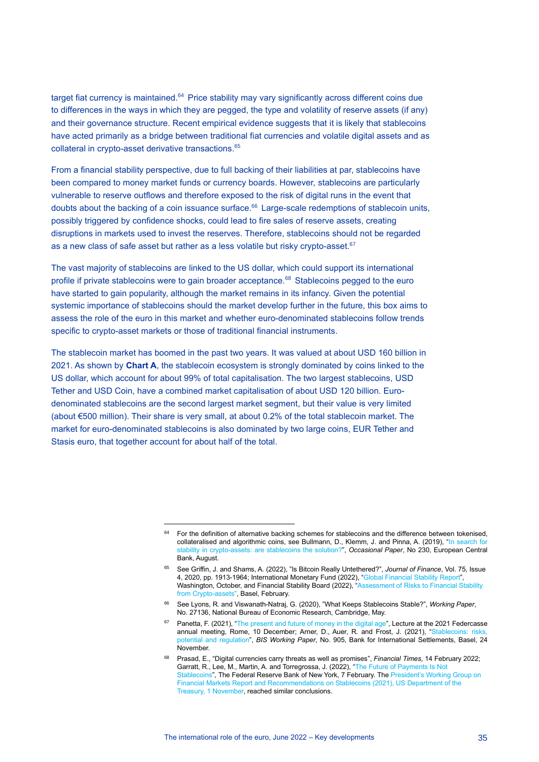target fiat currency is maintained.<sup>64</sup> Price stability may vary significantly across different coins due to differences in the ways in which they are pegged, the type and volatility of reserve assets (if any) and their governance structure. Recent empirical evidence suggests that it is likely that stablecoins have acted primarily as a bridge between traditional fiat currencies and volatile digital assets and as collateral in crypto-asset derivative transactions.<sup>65</sup>

From a financial stability perspective, due to full backing of their liabilities at par, stablecoins have been compared to money market funds or currency boards. However, stablecoins are particularly vulnerable to reserve outflows and therefore exposed to the risk of digital runs in the event that doubts about the backing of a coin issuance surface. <sup>66</sup> Large-scale redemptions of stablecoin units, possibly triggered by confidence shocks, could lead to fire sales of reserve assets, creating disruptions in markets used to invest the reserves. Therefore, stablecoins should not be regarded as a new class of safe asset but rather as a less volatile but risky crypto-asset.<sup>67</sup>

The vast majority of stablecoins are linked to the US dollar, which could support its international profile if private stablecoins were to gain broader acceptance.<sup>68</sup> Stablecoins pegged to the euro have started to gain popularity, although the market remains in its infancy. Given the potential systemic importance of stablecoins should the market develop further in the future, this box aims to assess the role of the euro in this market and whether euro-denominated stablecoins follow trends specific to crypto-asset markets or those of traditional financial instruments.

The stablecoin market has boomed in the past two years. It was valued at about USD 160 billion in 2021. As shown by **Chart A**, the stablecoin ecosystem is strongly dominated by coins linked to the US dollar, which account for about 99% of total capitalisation. The two largest stablecoins, USD Tether and USD Coin, have a combined market capitalisation of about USD 120 billion. Eurodenominated stablecoins are the second largest market segment, but their value is very limited (about €500 million). Their share is very small, at about 0.2% of the total stablecoin market. The market for euro-denominated stablecoins is also dominated by two large coins, EUR Tether and Stasis euro, that together account for about half of the total.

<sup>&</sup>lt;sup>64</sup> For the definition of alternative backing schemes for stablecoins and the difference between tokenised, collateralised and algorithmic coins, see Bullmann, D., Klemm, J. and Pinna, A. (2019), ["In search for](https://www.ecb.europa.eu/pub/pdf/scpops/ecb.op230~d57946be3b.en.pdf)  [stability in crypto-assets: are stablecoins the solution?"](https://www.ecb.europa.eu/pub/pdf/scpops/ecb.op230~d57946be3b.en.pdf), *Occasional Paper*, No 230, European Central Bank, August.

<sup>65</sup> See Griffin, J. and Shams, A. (2022), "Is Bitcoin Really Untethered?", *Journal of Finance*, Vol. 75, Issue 4, 2020, pp. 1913-1964; International Monetary Fund (2022), ["Global Financial Stability Report",](https://www.imf.org/en/Publications/GFSR/Issues/2021/10/12/global-financial-stability-report-october-2021) Washington, October, and Financial Stability Board (2022), "Assessment of Risks to Financial Stability [from Crypto-assets"](https://www.fsb.org/wp-content/uploads/P160222.pdf), Basel, February.

<sup>66</sup> See Lyons, R. and Viswanath-Natraj, G. (2020), "What Keeps Stablecoins Stable?", *Working Paper*, No. 27136, National Bureau of Economic Research, Cambridge, May.

<sup>&</sup>lt;sup>67</sup> Panetta, F. (2021), ["The present and future of money in the digital age"](https://www.ecb.europa.eu/press/key/date/2021/html/ecb.sp211210~09b6887f8b.en.html), Lecture at the 2021 Federcasse annual meeting, Rome, 10 December; Arner, D., Auer, R. and Frost, J. (2021), "Stablecoins: risks [potential and regulation",](https://www.bis.org/publ/work905.htm) *BIS Working Paper*, No. 905, Bank for International Settlements, Basel, 24 **November** 

<sup>68</sup> Prasad, E., "Digital currencies carry threats as well as promises", *Financial Times*, 14 February 2022; Garratt, R., Lee, M., Martin, A. and Torregrossa, J. (2022), ["The Future of Payments Is Not](https://libertystreeteconomics.newyorkfed.org/2022/02/the-future-of-payments-is-not-stablecoins/)  [Stablecoins",](https://libertystreeteconomics.newyorkfed.org/2022/02/the-future-of-payments-is-not-stablecoins/) The Federal Reserve Bank of New York, 7 February. Th[e President's Working Group on](https://home.treasury.gov/news/press-releases/jy0454)  [Financial Markets Report and Recommendations on Stablecoins \(2021\), US Department of the](https://home.treasury.gov/news/press-releases/jy0454)  [Treasury, 1 November,](https://home.treasury.gov/news/press-releases/jy0454) reached similar conclusions.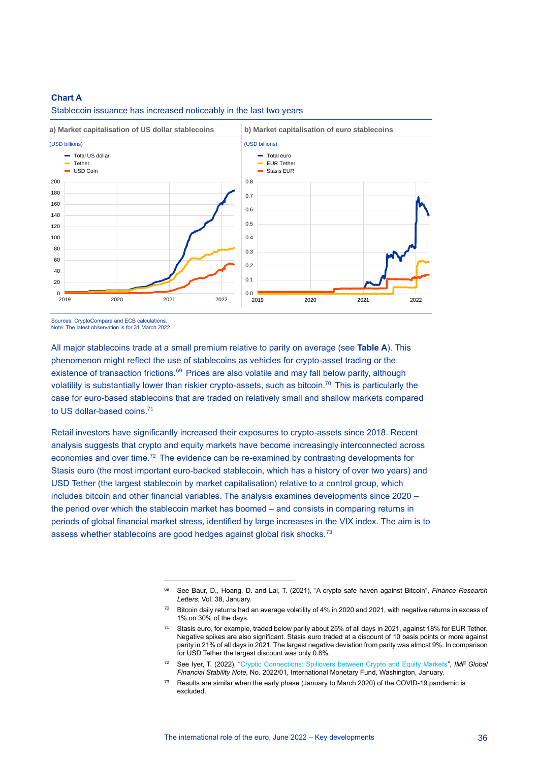#### **Chart A**

Stablecoin issuance has increased noticeably in the last two years



Note: The latest observation is for 31 March 2022.

All major stablecoins trade at a small premium relative to parity on average (see **Table A**). This phenomenon might reflect the use of stablecoins as vehicles for crypto-asset trading or the existence of transaction frictions.<sup>69</sup> Prices are also volatile and may fall below parity, although volatility is substantially lower than riskier crypto-assets, such as bitcoin.<sup>70</sup> This is particularly the case for euro-based stablecoins that are traded on relatively small and shallow markets compared to US dollar-based coins.<sup>71</sup>

Retail investors have significantly increased their exposures to crypto-assets since 2018. Recent analysis suggests that crypto and equity markets have become increasingly interconnected across economies and over time.<sup>72</sup> The evidence can be re-examined by contrasting developments for Stasis euro (the most important euro-backed stablecoin, which has a history of over two years) and USD Tether (the largest stablecoin by market capitalisation) relative to a control group, which includes bitcoin and other financial variables. The analysis examines developments since 2020 – the period over which the stablecoin market has boomed – and consists in comparing returns in periods of global financial market stress, identified by large increases in the VIX index. The aim is to assess whether stablecoins are good hedges against global risk shocks.<sup>73</sup>

<sup>69</sup> See Baur, D., Hoang, D. and Lai, T. (2021), "A crypto safe haven against Bitcoin", *Finance Research Letters*, Vol. 38, January.

 $70$  Bitcoin daily returns had an average volatility of 4% in 2020 and 2021, with negative returns in excess of 1% on 30% of the days.

<sup>71</sup> Stasis euro, for example, traded below parity about 25% of all days in 2021, against 18% for EUR Tether. Negative spikes are also significant. Stasis euro traded at a discount of 10 basis points or more against parity in 21% of all days in 2021. The largest negative deviation from parity was almost 9%. In comparison for USD Tether the largest discount was only 0.8%.

<sup>72</sup> See Iyer, T. (2022), ["Cryptic Connections: Spillovers between Crypto and Equity Markets"](https://www.imf.org/en/Publications/global-financial-stability-notes/Issues/2022/01/10/Cryptic-Connections-511776), *IMF Global Financial Stability Note*, No. 2022/01, International Monetary Fund, Washington, January.

 $73$  Results are similar when the early phase (January to March 2020) of the COVID-19 pandemic is excluded.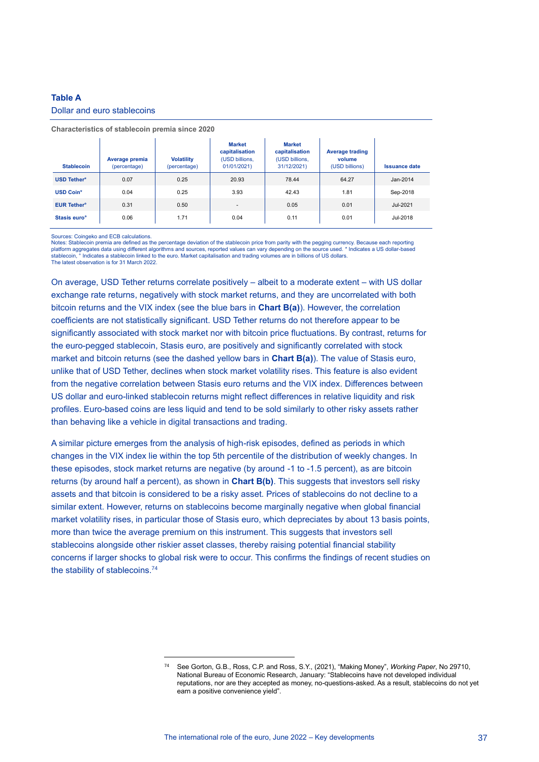#### **Table A**

#### Dollar and euro stablecoins

| <b>Stablecoin</b>             | Average premia<br>(percentage) | <b>Volatility</b><br>(percentage) | <b>Market</b><br>capitalisation<br>(USD billions.<br>01/01/2021) | <b>Market</b><br>capitalisation<br>(USD billions,<br>31/12/2021) | <b>Average trading</b><br>volume<br>(USD billions) | <b>Issuance date</b> |
|-------------------------------|--------------------------------|-----------------------------------|------------------------------------------------------------------|------------------------------------------------------------------|----------------------------------------------------|----------------------|
| <b>USD Tether*</b>            | 0.07                           | 0.25                              | 20.93                                                            | 78.44                                                            | 64.27                                              | Jan-2014             |
| <b>USD Coin*</b>              | 0.04                           | 0.25                              | 3.93                                                             | 42.43                                                            | 1.81                                               | Sep-2018             |
| <b>EUR Tether<sup>o</sup></b> | 0.31                           | 0.50                              | $\sim$                                                           | 0.05                                                             | 0.01                                               | Jul-2021             |
| Stasis euro <sup>o</sup>      | 0.06                           | 1.71                              | 0.04                                                             | 0.11                                                             | 0.01                                               | Jul-2018             |

#### **Characteristics of stablecoin premia since 2020**

Sources: Coingeko and ECB calculations.

Notes: Stablecoin premia are defined as the percentage deviation of the stablecoin price from parity with the pegging currency. Because each reporting platform aggregates data using different algorithms and sources, reported values can vary depending on the sources, reported values can vary depending on the sources, research in the source used. \* Indicates a US dollar-ba  $\degree$  Indicates a stablecoin linked to the euro. Market capitalisation and trading volumes are in billions of US dollars. The latest observation is for 31 March 2022.

On average, USD Tether returns correlate positively – albeit to a moderate extent – with US dollar exchange rate returns, negatively with stock market returns, and they are uncorrelated with both bitcoin returns and the VIX index (see the blue bars in **Chart B(a)**). However, the correlation coefficients are not statistically significant. USD Tether returns do not therefore appear to be significantly associated with stock market nor with bitcoin price fluctuations. By contrast, returns for the euro-pegged stablecoin, Stasis euro, are positively and significantly correlated with stock market and bitcoin returns (see the dashed yellow bars in **Chart B(a)**). The value of Stasis euro, unlike that of USD Tether, declines when stock market volatility rises. This feature is also evident from the negative correlation between Stasis euro returns and the VIX index. Differences between US dollar and euro-linked stablecoin returns might reflect differences in relative liquidity and risk profiles. Euro-based coins are less liquid and tend to be sold similarly to other risky assets rather than behaving like a vehicle in digital transactions and trading.

A similar picture emerges from the analysis of high-risk episodes, defined as periods in which changes in the VIX index lie within the top 5th percentile of the distribution of weekly changes. In these episodes, stock market returns are negative (by around -1 to -1.5 percent), as are bitcoin returns (by around half a percent), as shown in **Chart B(b)**. This suggests that investors sell risky assets and that bitcoin is considered to be a risky asset. Prices of stablecoins do not decline to a similar extent. However, returns on stablecoins become marginally negative when global financial market volatility rises, in particular those of Stasis euro, which depreciates by about 13 basis points, more than twice the average premium on this instrument. This suggests that investors sell stablecoins alongside other riskier asset classes, thereby raising potential financial stability concerns if larger shocks to global risk were to occur. This confirms the findings of recent studies on the stability of stablecoins.<sup>74</sup>

<sup>74</sup> See Gorton, G.B., Ross, C.P. and Ross, S.Y., (2021), "Making Money", *Working Paper*, No 29710, National Bureau of Economic Research, January: "Stablecoins have not developed individual reputations, nor are they accepted as money, no-questions-asked. As a result, stablecoins do not yet earn a positive convenience yield".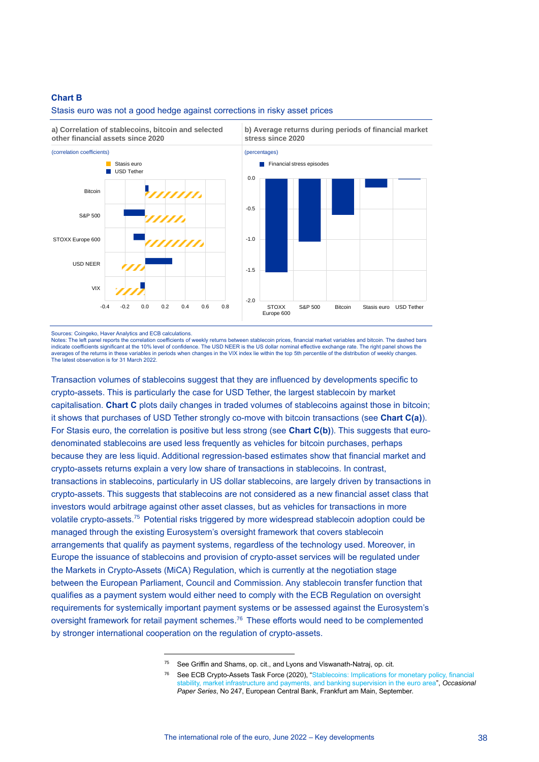#### **Chart B**

#### Stasis euro was not a good hedge against corrections in risky asset prices



Sources: Coingeko, Haver Analytics and ECB calculations.

Notes: The left panel reports the correlation coefficients of weekly returns between stablecoin prices, financial market variables and bitcoin. The dashed bars indicate coefficients significant at the 10% level of confidence. The USD NEER is the US dollar nominal effective exchange rate. The right panel shows the averages of the returns in these variables in periods when changes in the VIX index lie within the top 5th percentile of the distribution of weekly changes. The latest observation is for 31 March 2022.

Transaction volumes of stablecoins suggest that they are influenced by developments specific to crypto-assets. This is particularly the case for USD Tether, the largest stablecoin by market capitalisation. **Chart C** plots daily changes in traded volumes of stablecoins against those in bitcoin; it shows that purchases of USD Tether strongly co-move with bitcoin transactions (see **Chart C(a)**). For Stasis euro, the correlation is positive but less strong (see **Chart C(b)**). This suggests that eurodenominated stablecoins are used less frequently as vehicles for bitcoin purchases, perhaps because they are less liquid. Additional regression-based estimates show that financial market and crypto-assets returns explain a very low share of transactions in stablecoins. In contrast, transactions in stablecoins, particularly in US dollar stablecoins, are largely driven by transactions in crypto-assets. This suggests that stablecoins are not considered as a new financial asset class that investors would arbitrage against other asset classes, but as vehicles for transactions in more volatile crypto-assets.<sup>75</sup> Potential risks triggered by more widespread stablecoin adoption could be managed through the existing Eurosystem's oversight framework that covers stablecoin arrangements that qualify as payment systems, regardless of the technology used. Moreover, in Europe the issuance of stablecoins and provision of crypto-asset services will be regulated under the Markets in Crypto-Assets (MiCA) Regulation, which is currently at the negotiation stage between the European Parliament, Council and Commission. Any stablecoin transfer function that qualifies as a payment system would either need to comply with the ECB Regulation on oversight requirements for systemically important payment systems or be assessed against the Eurosystem's oversight framework for retail payment schemes.<sup>76</sup> These efforts would need to be complemented by stronger international cooperation on the regulation of crypto-assets.

<sup>75</sup> See Griffin and Shams, op. cit., and Lyons and Viswanath-Natraj, op. cit.

<sup>76</sup> See ECB Crypto-Assets Task Force (2020), ["Stablecoins: Implications for monetary policy, financial](https://www.ecb.europa.eu/pub/pdf/scpops/ecb.op247~fe3df92991.en.pdf)  [stability, market infrastructure and payments, and banking supervision in the euro area"](https://www.ecb.europa.eu/pub/pdf/scpops/ecb.op247~fe3df92991.en.pdf), *Occasional Paper Series*, No 247, European Central Bank, Frankfurt am Main, September.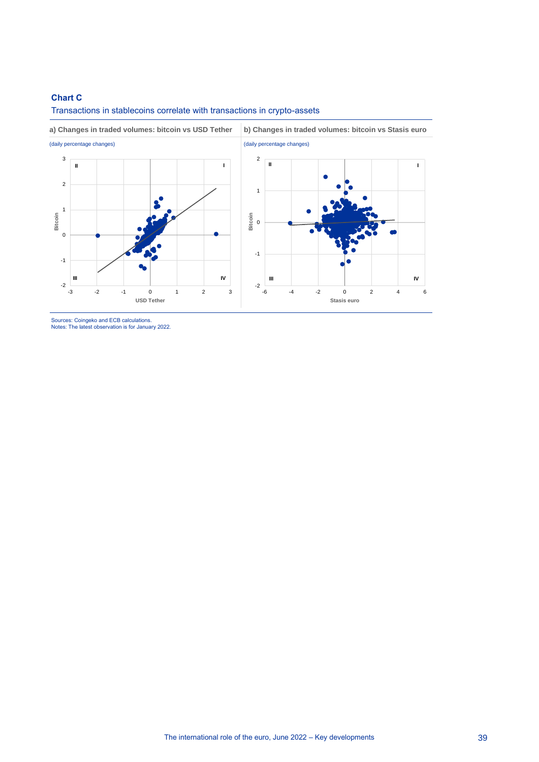#### **Chart C**



Transactions in stablecoins correlate with transactions in crypto-assets

Sources: Coingeko and ECB calculations. Notes: The latest observation is for January 2022.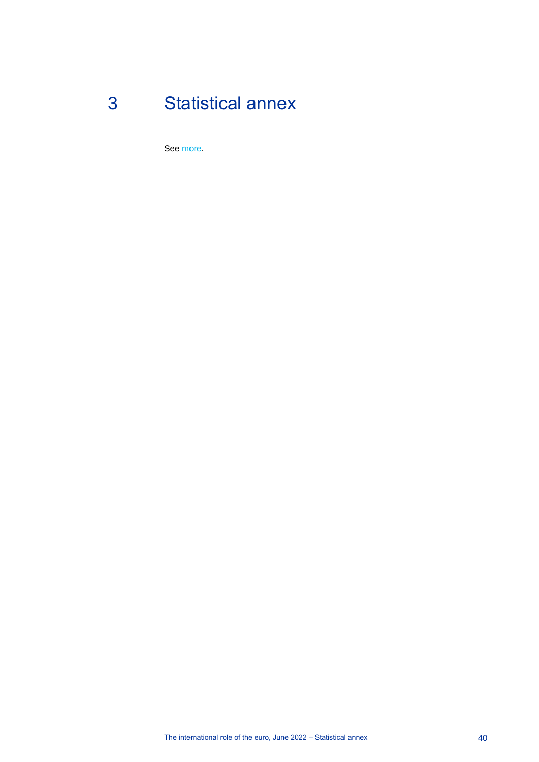# 3 Statistical annex

<span id="page-40-0"></span>See [more.](https://www.ecb.europa.eu/pub/pdf/ire/ecb.ire202206_annex.en.pdf)